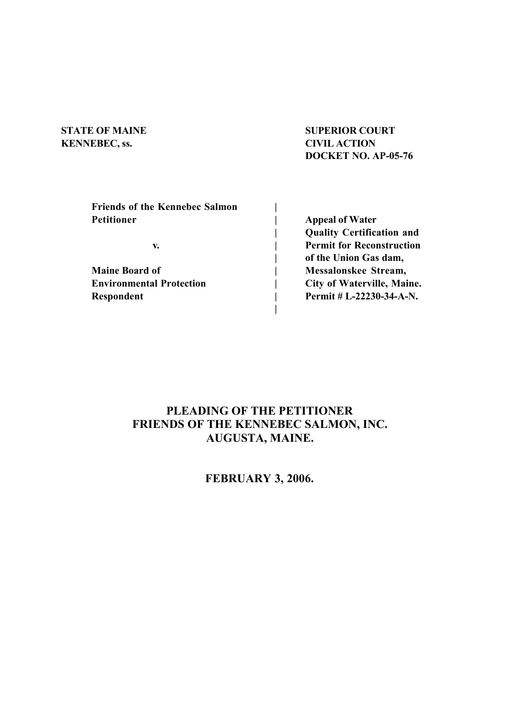# **KENNEBEC, ss. CIVIL ACTION**

# **STATE OF MAINE SUPERIOR COURT DOCKET NO. AP-05-76**

| <b>Friends of the Kennebec Salmon</b> |                                   |
|---------------------------------------|-----------------------------------|
| Petitioner                            | <b>Appeal of Water</b>            |
|                                       | <b>Quality Certification and</b>  |
| v.                                    | <b>Permit for Reconstruction</b>  |
|                                       | of the Union Gas dam,             |
| <b>Maine Board of</b>                 | Messalonskee Stream,              |
| <b>Environmental Protection</b>       | <b>City of Waterville, Maine.</b> |
| Respondent                            | Permit # L-22230-34-A-N.          |
|                                       |                                   |

## **PLEADING OF THE PETITIONER FRIENDS OF THE KENNEBEC SALMON, INC. AUGUSTA, MAINE.**

## **FEBRUARY 3, 2006.**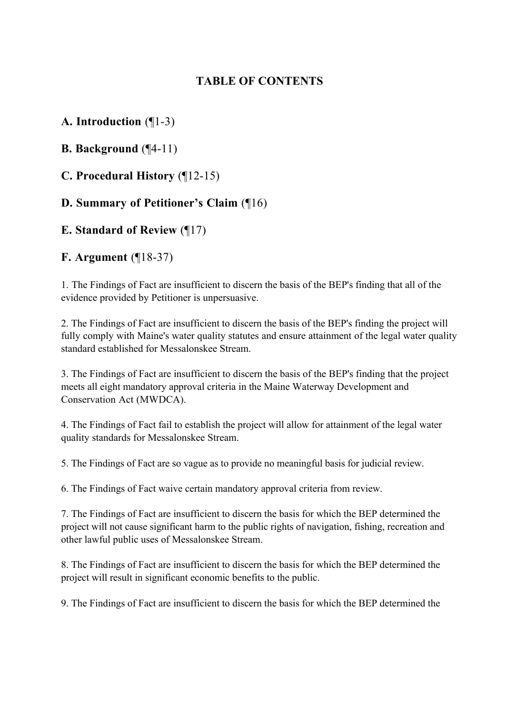## **TABLE OF CONTENTS**

## **A. Introduction** (¶1-3)

**B. Background** (¶4-11)

**C. Procedural History** (¶12-15)

## **D. Summary of Petitioner's Claim** (¶16)

## **E. Standard of Review** (¶17)

## **F. Argument** (¶18-37)

1. The Findings of Fact are insufficient to discern the basis of the BEP's finding that all of the evidence provided by Petitioner is unpersuasive.

2. The Findings of Fact are insufficient to discern the basis of the BEP's finding the project will fully comply with Maine's water quality statutes and ensure attainment of the legal water quality standard established for Messalonskee Stream.

3. The Findings of Fact are insufficient to discern the basis of the BEP's finding that the project meets all eight mandatory approval criteria in the Maine Waterway Development and Conservation Act (MWDCA).

4. The Findings of Fact fail to establish the project will allow for attainment of the legal water quality standards for Messalonskee Stream.

5. The Findings of Fact are so vague as to provide no meaningful basis for judicial review.

6. The Findings of Fact waive certain mandatory approval criteria from review.

7. The Findings of Fact are insufficient to discern the basis for which the BEP determined the project will not cause significant harm to the public rights of navigation, fishing, recreation and other lawful public uses of Messalonskee Stream.

8. The Findings of Fact are insufficient to discern the basis for which the BEP determined the project will result in significant economic benefits to the public.

9. The Findings of Fact are insufficient to discern the basis for which the BEP determined the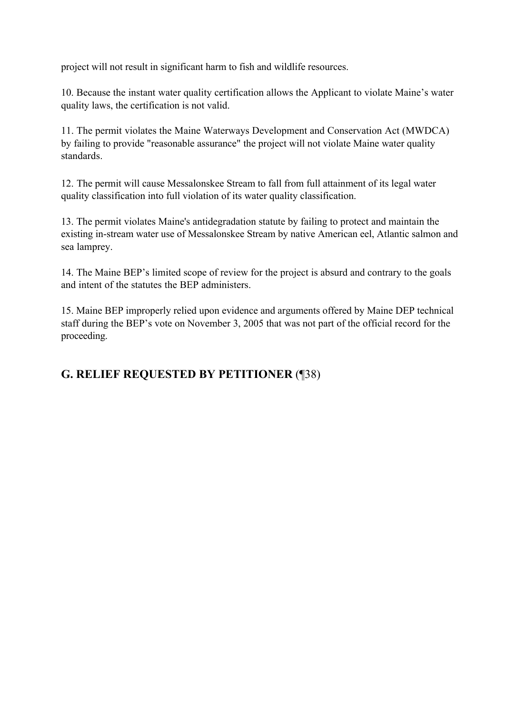project will not result in significant harm to fish and wildlife resources.

10. Because the instant water quality certification allows the Applicant to violate Maine's water quality laws, the certification is not valid.

11. The permit violates the Maine Waterways Development and Conservation Act (MWDCA) by failing to provide "reasonable assurance" the project will not violate Maine water quality standards.

12. The permit will cause Messalonskee Stream to fall from full attainment of its legal water quality classification into full violation of its water quality classification.

13. The permit violates Maine's antidegradation statute by failing to protect and maintain the existing in-stream water use of Messalonskee Stream by native American eel, Atlantic salmon and sea lamprey.

14. The Maine BEP's limited scope of review for the project is absurd and contrary to the goals and intent of the statutes the BEP administers.

15. Maine BEP improperly relied upon evidence and arguments offered by Maine DEP technical staff during the BEP's vote on November 3, 2005 that was not part of the official record for the proceeding.

## **G. RELIEF REQUESTED BY PETITIONER** (¶38)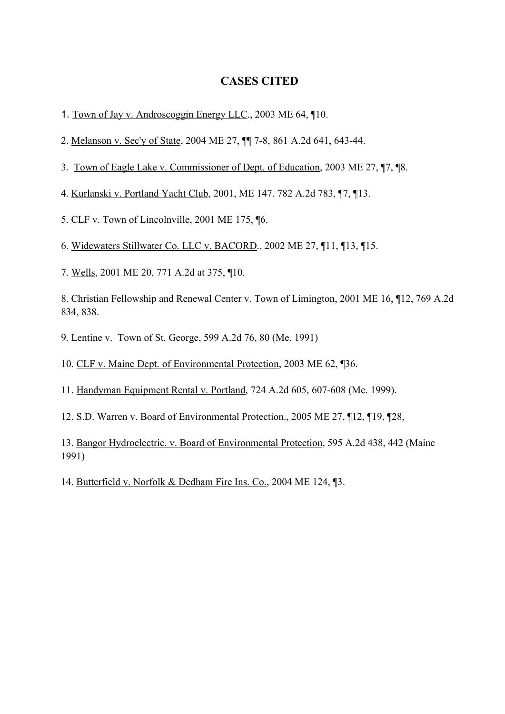### **CASES CITED**

- 1. Town of Jay v. Androscoggin Energy LLC., 2003 ME 64, ¶10.
- 2. Melanson v. Sec'y of State, 2004 ME 27, ¶¶ 7-8, 861 A.2d 641, 643-44.
- 3. Town of Eagle Lake v. Commissioner of Dept. of Education, 2003 ME 27, ¶7, ¶8.
- 4. Kurlanski v. Portland Yacht Club, 2001, ME 147. 782 A.2d 783, ¶7, ¶13.
- 5. CLF v. Town of Lincolnville, 2001 ME 175, ¶6.
- 6. Widewaters Stillwater Co. LLC v. BACORD., 2002 ME 27, ¶11, ¶13, ¶15.
- 7. Wells, 2001 ME 20, 771 A.2d at 375, ¶10.

8. Christian Fellowship and Renewal Center v. Town of Limington, 2001 ME 16, ¶12, 769 A.2d 834, 838.

- 9. Lentine v. Town of St. George, 599 A.2d 76, 80 (Me. 1991)
- 10. CLF v. Maine Dept. of Environmental Protection, 2003 ME 62, ¶36.
- 11. Handyman Equipment Rental v. Portland, 724 A.2d 605, 607-608 (Me. 1999).
- 12. S.D. Warren v. Board of Environmental Protection., 2005 ME 27, ¶12, ¶19, ¶28,

13. Bangor Hydroelectric. v. Board of Environmental Protection, 595 A.2d 438, 442 (Maine 1991)

14. Butterfield v. Norfolk & Dedham Fire Ins. Co., 2004 ME 124, ¶3.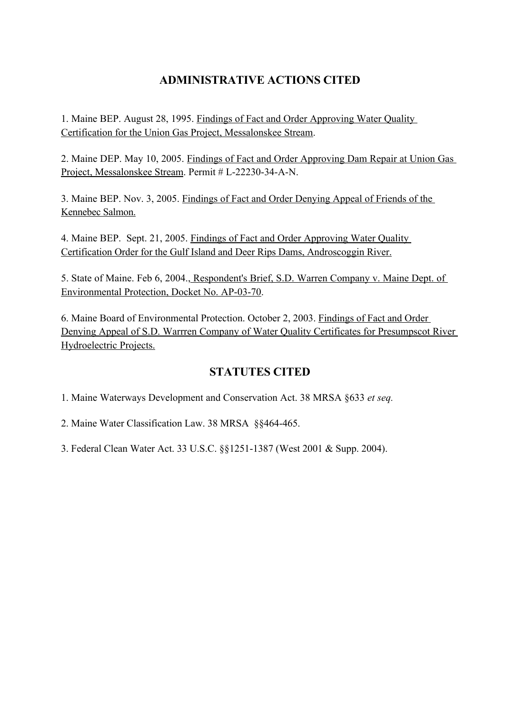## **ADMINISTRATIVE ACTIONS CITED**

1. Maine BEP. August 28, 1995. Findings of Fact and Order Approving Water Quality Certification for the Union Gas Project, Messalonskee Stream.

2. Maine DEP. May 10, 2005. Findings of Fact and Order Approving Dam Repair at Union Gas Project, Messalonskee Stream. Permit # L-22230-34-A-N.

3. Maine BEP. Nov. 3, 2005. Findings of Fact and Order Denying Appeal of Friends of the Kennebec Salmon.

4. Maine BEP. Sept. 21, 2005. Findings of Fact and Order Approving Water Quality Certification Order for the Gulf Island and Deer Rips Dams, Androscoggin River.

5. State of Maine. Feb 6, 2004., Respondent's Brief, S.D. Warren Company v. Maine Dept. of Environmental Protection, Docket No. AP-03-70.

6. Maine Board of Environmental Protection. October 2, 2003. Findings of Fact and Order Denying Appeal of S.D. Warrren Company of Water Quality Certificates for Presumpscot River Hydroelectric Projects.

## **STATUTES CITED**

1. Maine Waterways Development and Conservation Act. 38 MRSA §633 *et seq.*

2. Maine Water Classification Law. 38 MRSA §§464-465.

3. Federal Clean Water Act. 33 U.S.C. §§1251-1387 (West 2001 & Supp. 2004).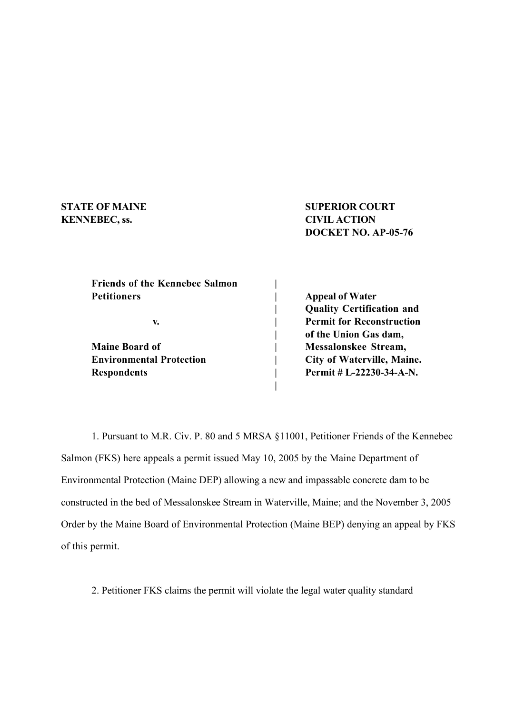# **KENNEBEC, ss. CIVIL ACTION**

**STATE OF MAINE SUPERIOR COURT DOCKET NO. AP-05-76**

| <b>Friends of the Kennebec Salmon</b> |                                  |
|---------------------------------------|----------------------------------|
| <b>Petitioners</b>                    | <b>Appeal of Water</b>           |
|                                       | <b>Quality Certification and</b> |
| v.                                    | <b>Permit for Reconstruction</b> |
|                                       | of the Union Gas dam,            |
| <b>Maine Board of</b>                 | Messalonskee Stream,             |
| <b>Environmental Protection</b>       | City of Waterville, Maine.       |
| <b>Respondents</b>                    | Permit # L-22230-34-A-N.         |
|                                       |                                  |

1. Pursuant to M.R. Civ. P. 80 and 5 MRSA §11001, Petitioner Friends of the Kennebec Salmon (FKS) here appeals a permit issued May 10, 2005 by the Maine Department of Environmental Protection (Maine DEP) allowing a new and impassable concrete dam to be constructed in the bed of Messalonskee Stream in Waterville, Maine; and the November 3, 2005 Order by the Maine Board of Environmental Protection (Maine BEP) denying an appeal by FKS of this permit.

2. Petitioner FKS claims the permit will violate the legal water quality standard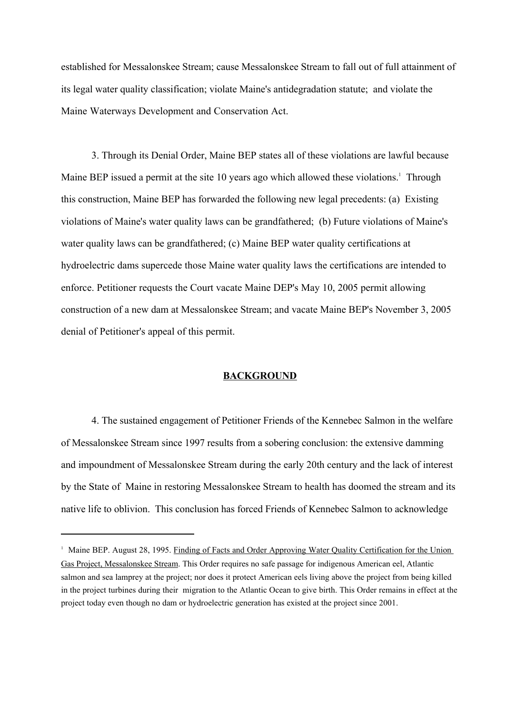established for Messalonskee Stream; cause Messalonskee Stream to fall out of full attainment of its legal water quality classification; violate Maine's antidegradation statute; and violate the Maine Waterways Development and Conservation Act.

3. Through its Denial Order, Maine BEP states all of these violations are lawful because Maine BEP issued a permit at the site 10 years ago which allowed these violations.<sup>1</sup> Through this construction, Maine BEP has forwarded the following new legal precedents: (a) Existing violations of Maine's water quality laws can be grandfathered; (b) Future violations of Maine's water quality laws can be grandfathered; (c) Maine BEP water quality certifications at hydroelectric dams supercede those Maine water quality laws the certifications are intended to enforce. Petitioner requests the Court vacate Maine DEP's May 10, 2005 permit allowing construction of a new dam at Messalonskee Stream; and vacate Maine BEP's November 3, 2005 denial of Petitioner's appeal of this permit.

#### **BACKGROUND**

4. The sustained engagement of Petitioner Friends of the Kennebec Salmon in the welfare of Messalonskee Stream since 1997 results from a sobering conclusion: the extensive damming and impoundment of Messalonskee Stream during the early 20th century and the lack of interest by the State of Maine in restoring Messalonskee Stream to health has doomed the stream and its native life to oblivion. This conclusion has forced Friends of Kennebec Salmon to acknowledge

<sup>&</sup>lt;sup>1</sup> Maine BEP. August 28, 1995. Finding of Facts and Order Approving Water Quality Certification for the Union Gas Project, Messalonskee Stream. This Order requires no safe passage for indigenous American eel, Atlantic salmon and sea lamprey at the project; nor does it protect American eels living above the project from being killed in the project turbines during their migration to the Atlantic Ocean to give birth. This Order remains in effect at the project today even though no dam or hydroelectric generation has existed at the project since 2001.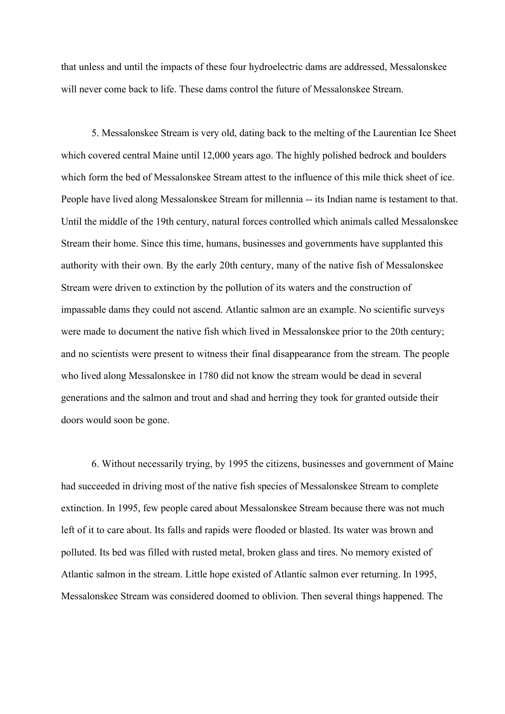that unless and until the impacts of these four hydroelectric dams are addressed, Messalonskee will never come back to life. These dams control the future of Messalonskee Stream.

5. Messalonskee Stream is very old, dating back to the melting of the Laurentian Ice Sheet which covered central Maine until 12,000 years ago. The highly polished bedrock and boulders which form the bed of Messalonskee Stream attest to the influence of this mile thick sheet of ice. People have lived along Messalonskee Stream for millennia -- its Indian name is testament to that. Until the middle of the 19th century, natural forces controlled which animals called Messalonskee Stream their home. Since this time, humans, businesses and governments have supplanted this authority with their own. By the early 20th century, many of the native fish of Messalonskee Stream were driven to extinction by the pollution of its waters and the construction of impassable dams they could not ascend. Atlantic salmon are an example. No scientific surveys were made to document the native fish which lived in Messalonskee prior to the 20th century; and no scientists were present to witness their final disappearance from the stream. The people who lived along Messalonskee in 1780 did not know the stream would be dead in several generations and the salmon and trout and shad and herring they took for granted outside their doors would soon be gone.

6. Without necessarily trying, by 1995 the citizens, businesses and government of Maine had succeeded in driving most of the native fish species of Messalonskee Stream to complete extinction. In 1995, few people cared about Messalonskee Stream because there was not much left of it to care about. Its falls and rapids were flooded or blasted. Its water was brown and polluted. Its bed was filled with rusted metal, broken glass and tires. No memory existed of Atlantic salmon in the stream. Little hope existed of Atlantic salmon ever returning. In 1995, Messalonskee Stream was considered doomed to oblivion. Then several things happened. The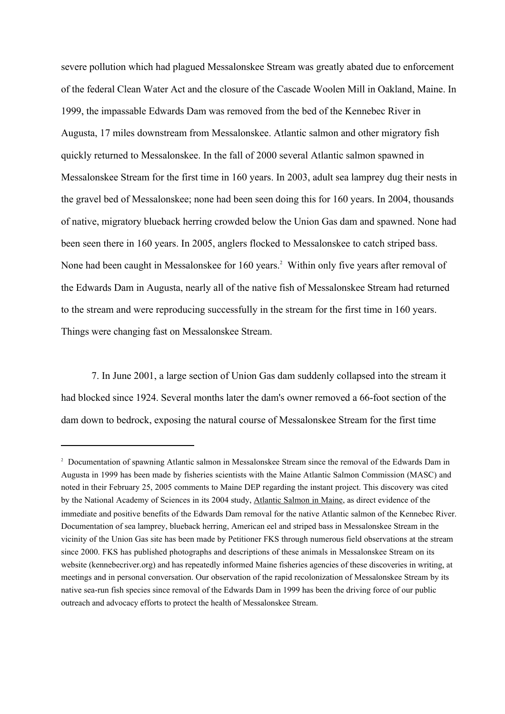severe pollution which had plagued Messalonskee Stream was greatly abated due to enforcement of the federal Clean Water Act and the closure of the Cascade Woolen Mill in Oakland, Maine. In 1999, the impassable Edwards Dam was removed from the bed of the Kennebec River in Augusta, 17 miles downstream from Messalonskee. Atlantic salmon and other migratory fish quickly returned to Messalonskee. In the fall of 2000 several Atlantic salmon spawned in Messalonskee Stream for the first time in 160 years. In 2003, adult sea lamprey dug their nests in the gravel bed of Messalonskee; none had been seen doing this for 160 years. In 2004, thousands of native, migratory blueback herring crowded below the Union Gas dam and spawned. None had been seen there in 160 years. In 2005, anglers flocked to Messalonskee to catch striped bass. None had been caught in Messalonskee for 160 years.<sup>2</sup> Within only five years after removal of the Edwards Dam in Augusta, nearly all of the native fish of Messalonskee Stream had returned to the stream and were reproducing successfully in the stream for the first time in 160 years. Things were changing fast on Messalonskee Stream.

7. In June 2001, a large section of Union Gas dam suddenly collapsed into the stream it had blocked since 1924. Several months later the dam's owner removed a 66-foot section of the dam down to bedrock, exposing the natural course of Messalonskee Stream for the first time

<sup>&</sup>lt;sup>2</sup> Documentation of spawning Atlantic salmon in Messalonskee Stream since the removal of the Edwards Dam in Augusta in 1999 has been made by fisheries scientists with the Maine Atlantic Salmon Commission (MASC) and noted in their February 25, 2005 comments to Maine DEP regarding the instant project. This discovery was cited by the National Academy of Sciences in its 2004 study, Atlantic Salmon in Maine, as direct evidence of the immediate and positive benefits of the Edwards Dam removal for the native Atlantic salmon of the Kennebec River. Documentation of sea lamprey, blueback herring, American eel and striped bass in Messalonskee Stream in the vicinity of the Union Gas site has been made by Petitioner FKS through numerous field observations at the stream since 2000. FKS has published photographs and descriptions of these animals in Messalonskee Stream on its website (kennebecriver.org) and has repeatedly informed Maine fisheries agencies of these discoveries in writing, at meetings and in personal conversation. Our observation of the rapid recolonization of Messalonskee Stream by its native sea-run fish species since removal of the Edwards Dam in 1999 has been the driving force of our public outreach and advocacy efforts to protect the health of Messalonskee Stream.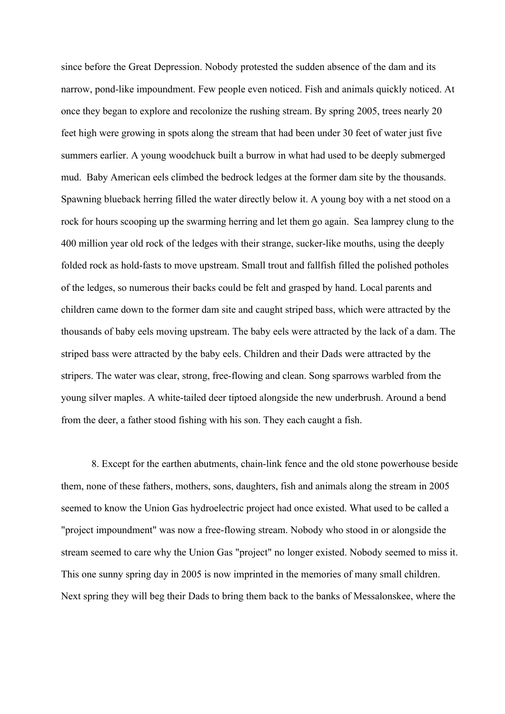since before the Great Depression. Nobody protested the sudden absence of the dam and its narrow, pond-like impoundment. Few people even noticed. Fish and animals quickly noticed. At once they began to explore and recolonize the rushing stream. By spring 2005, trees nearly 20 feet high were growing in spots along the stream that had been under 30 feet of water just five summers earlier. A young woodchuck built a burrow in what had used to be deeply submerged mud. Baby American eels climbed the bedrock ledges at the former dam site by the thousands. Spawning blueback herring filled the water directly below it. A young boy with a net stood on a rock for hours scooping up the swarming herring and let them go again. Sea lamprey clung to the 400 million year old rock of the ledges with their strange, sucker-like mouths, using the deeply folded rock as hold-fasts to move upstream. Small trout and fallfish filled the polished potholes of the ledges, so numerous their backs could be felt and grasped by hand. Local parents and children came down to the former dam site and caught striped bass, which were attracted by the thousands of baby eels moving upstream. The baby eels were attracted by the lack of a dam. The striped bass were attracted by the baby eels. Children and their Dads were attracted by the stripers. The water was clear, strong, free-flowing and clean. Song sparrows warbled from the young silver maples. A white-tailed deer tiptoed alongside the new underbrush. Around a bend from the deer, a father stood fishing with his son. They each caught a fish.

8. Except for the earthen abutments, chain-link fence and the old stone powerhouse beside them, none of these fathers, mothers, sons, daughters, fish and animals along the stream in 2005 seemed to know the Union Gas hydroelectric project had once existed. What used to be called a "project impoundment" was now a free-flowing stream. Nobody who stood in or alongside the stream seemed to care why the Union Gas "project" no longer existed. Nobody seemed to miss it. This one sunny spring day in 2005 is now imprinted in the memories of many small children. Next spring they will beg their Dads to bring them back to the banks of Messalonskee, where the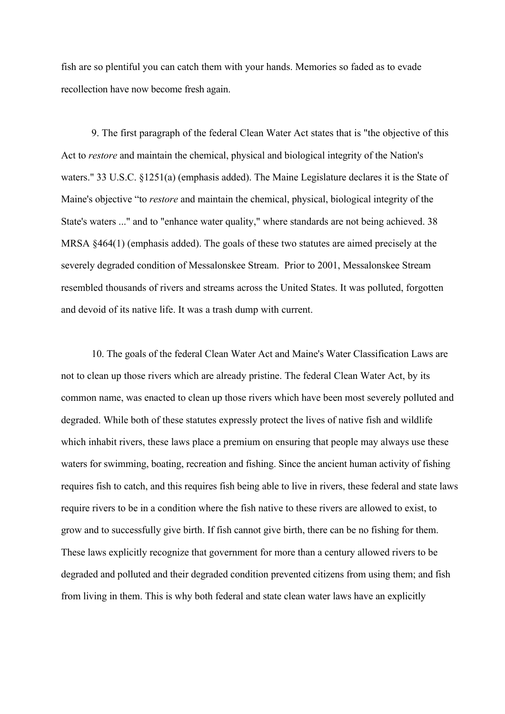fish are so plentiful you can catch them with your hands. Memories so faded as to evade recollection have now become fresh again.

9. The first paragraph of the federal Clean Water Act states that is "the objective of this Act to *restore* and maintain the chemical, physical and biological integrity of the Nation's waters." 33 U.S.C. §1251(a) (emphasis added). The Maine Legislature declares it is the State of Maine's objective "to *restore* and maintain the chemical, physical, biological integrity of the State's waters ..." and to "enhance water quality," where standards are not being achieved. 38 MRSA §464(1) (emphasis added). The goals of these two statutes are aimed precisely at the severely degraded condition of Messalonskee Stream. Prior to 2001, Messalonskee Stream resembled thousands of rivers and streams across the United States. It was polluted, forgotten and devoid of its native life. It was a trash dump with current.

10. The goals of the federal Clean Water Act and Maine's Water Classification Laws are not to clean up those rivers which are already pristine. The federal Clean Water Act, by its common name, was enacted to clean up those rivers which have been most severely polluted and degraded. While both of these statutes expressly protect the lives of native fish and wildlife which inhabit rivers, these laws place a premium on ensuring that people may always use these waters for swimming, boating, recreation and fishing. Since the ancient human activity of fishing requires fish to catch, and this requires fish being able to live in rivers, these federal and state laws require rivers to be in a condition where the fish native to these rivers are allowed to exist, to grow and to successfully give birth. If fish cannot give birth, there can be no fishing for them. These laws explicitly recognize that government for more than a century allowed rivers to be degraded and polluted and their degraded condition prevented citizens from using them; and fish from living in them. This is why both federal and state clean water laws have an explicitly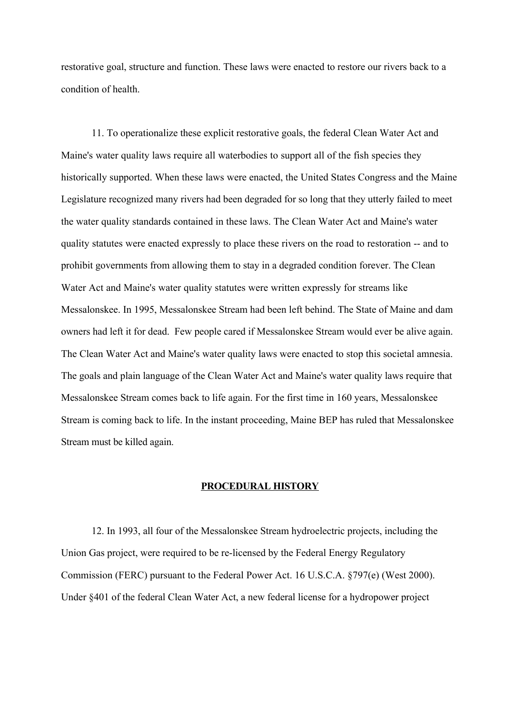restorative goal, structure and function. These laws were enacted to restore our rivers back to a condition of health.

11. To operationalize these explicit restorative goals, the federal Clean Water Act and Maine's water quality laws require all waterbodies to support all of the fish species they historically supported. When these laws were enacted, the United States Congress and the Maine Legislature recognized many rivers had been degraded for so long that they utterly failed to meet the water quality standards contained in these laws. The Clean Water Act and Maine's water quality statutes were enacted expressly to place these rivers on the road to restoration -- and to prohibit governments from allowing them to stay in a degraded condition forever. The Clean Water Act and Maine's water quality statutes were written expressly for streams like Messalonskee. In 1995, Messalonskee Stream had been left behind. The State of Maine and dam owners had left it for dead. Few people cared if Messalonskee Stream would ever be alive again. The Clean Water Act and Maine's water quality laws were enacted to stop this societal amnesia. The goals and plain language of the Clean Water Act and Maine's water quality laws require that Messalonskee Stream comes back to life again. For the first time in 160 years, Messalonskee Stream is coming back to life. In the instant proceeding, Maine BEP has ruled that Messalonskee Stream must be killed again.

#### **PROCEDURAL HISTORY**

12. In 1993, all four of the Messalonskee Stream hydroelectric projects, including the Union Gas project, were required to be re-licensed by the Federal Energy Regulatory Commission (FERC) pursuant to the Federal Power Act. 16 U.S.C.A. §797(e) (West 2000). Under §401 of the federal Clean Water Act, a new federal license for a hydropower project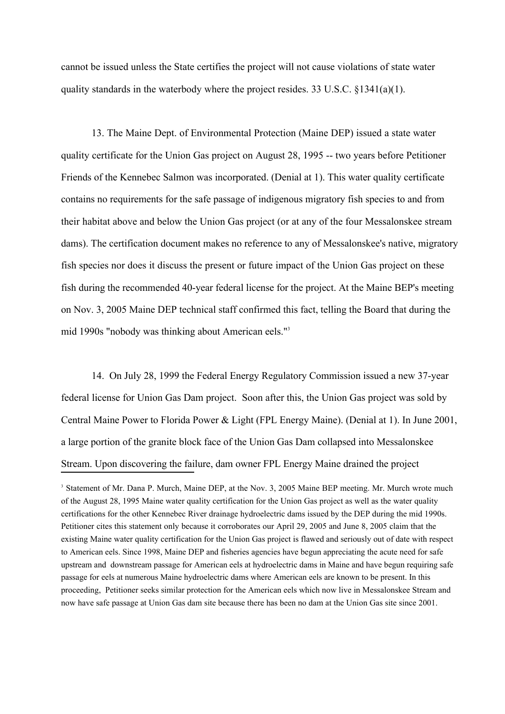cannot be issued unless the State certifies the project will not cause violations of state water quality standards in the waterbody where the project resides. 33 U.S.C.  $\S$ 1341(a)(1).

13. The Maine Dept. of Environmental Protection (Maine DEP) issued a state water quality certificate for the Union Gas project on August 28, 1995 -- two years before Petitioner Friends of the Kennebec Salmon was incorporated. (Denial at 1). This water quality certificate contains no requirements for the safe passage of indigenous migratory fish species to and from their habitat above and below the Union Gas project (or at any of the four Messalonskee stream dams). The certification document makes no reference to any of Messalonskee's native, migratory fish species nor does it discuss the present or future impact of the Union Gas project on these fish during the recommended 40-year federal license for the project. At the Maine BEP's meeting on Nov. 3, 2005 Maine DEP technical staff confirmed this fact, telling the Board that during the mid 1990s "nobody was thinking about American eels."3

14. On July 28, 1999 the Federal Energy Regulatory Commission issued a new 37-year federal license for Union Gas Dam project. Soon after this, the Union Gas project was sold by Central Maine Power to Florida Power & Light (FPL Energy Maine). (Denial at 1). In June 2001, a large portion of the granite block face of the Union Gas Dam collapsed into Messalonskee Stream. Upon discovering the failure, dam owner FPL Energy Maine drained the project

<sup>&</sup>lt;sup>3</sup> Statement of Mr. Dana P. Murch, Maine DEP, at the Nov. 3, 2005 Maine BEP meeting. Mr. Murch wrote much of the August 28, 1995 Maine water quality certification for the Union Gas project as well as the water quality certifications for the other Kennebec River drainage hydroelectric dams issued by the DEP during the mid 1990s. Petitioner cites this statement only because it corroborates our April 29, 2005 and June 8, 2005 claim that the existing Maine water quality certification for the Union Gas project is flawed and seriously out of date with respect to American eels. Since 1998, Maine DEP and fisheries agencies have begun appreciating the acute need for safe upstream and downstream passage for American eels at hydroelectric dams in Maine and have begun requiring safe passage for eels at numerous Maine hydroelectric dams where American eels are known to be present. In this proceeding, Petitioner seeks similar protection for the American eels which now live in Messalonskee Stream and now have safe passage at Union Gas dam site because there has been no dam at the Union Gas site since 2001.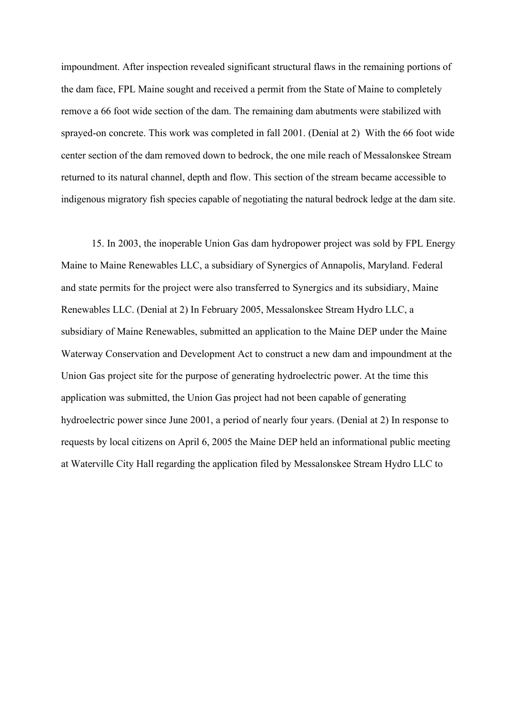impoundment. After inspection revealed significant structural flaws in the remaining portions of the dam face, FPL Maine sought and received a permit from the State of Maine to completely remove a 66 foot wide section of the dam. The remaining dam abutments were stabilized with sprayed-on concrete. This work was completed in fall 2001. (Denial at 2) With the 66 foot wide center section of the dam removed down to bedrock, the one mile reach of Messalonskee Stream returned to its natural channel, depth and flow. This section of the stream became accessible to indigenous migratory fish species capable of negotiating the natural bedrock ledge at the dam site.

15. In 2003, the inoperable Union Gas dam hydropower project was sold by FPL Energy Maine to Maine Renewables LLC, a subsidiary of Synergics of Annapolis, Maryland. Federal and state permits for the project were also transferred to Synergics and its subsidiary, Maine Renewables LLC. (Denial at 2) In February 2005, Messalonskee Stream Hydro LLC, a subsidiary of Maine Renewables, submitted an application to the Maine DEP under the Maine Waterway Conservation and Development Act to construct a new dam and impoundment at the Union Gas project site for the purpose of generating hydroelectric power. At the time this application was submitted, the Union Gas project had not been capable of generating hydroelectric power since June 2001, a period of nearly four years. (Denial at 2) In response to requests by local citizens on April 6, 2005 the Maine DEP held an informational public meeting at Waterville City Hall regarding the application filed by Messalonskee Stream Hydro LLC to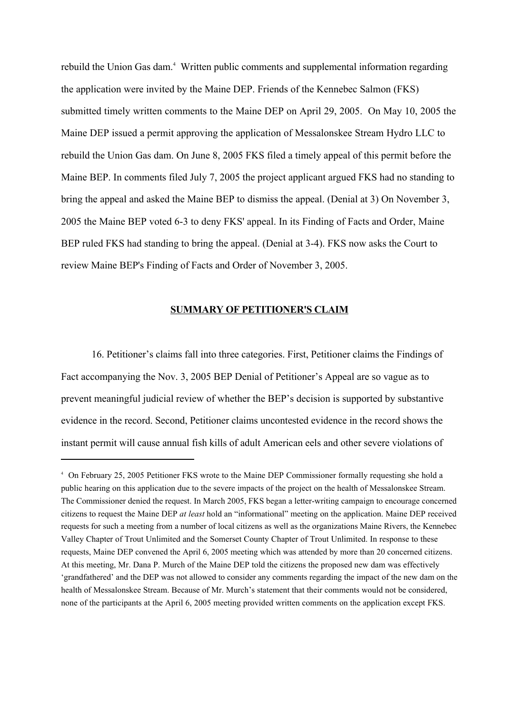rebuild the Union Gas dam.<sup>4</sup> Written public comments and supplemental information regarding the application were invited by the Maine DEP. Friends of the Kennebec Salmon (FKS) submitted timely written comments to the Maine DEP on April 29, 2005. On May 10, 2005 the Maine DEP issued a permit approving the application of Messalonskee Stream Hydro LLC to rebuild the Union Gas dam. On June 8, 2005 FKS filed a timely appeal of this permit before the Maine BEP. In comments filed July 7, 2005 the project applicant argued FKS had no standing to bring the appeal and asked the Maine BEP to dismiss the appeal. (Denial at 3) On November 3, 2005 the Maine BEP voted 6-3 to deny FKS' appeal. In its Finding of Facts and Order, Maine BEP ruled FKS had standing to bring the appeal. (Denial at 3-4). FKS now asks the Court to review Maine BEP's Finding of Facts and Order of November 3, 2005.

#### **SUMMARY OF PETITIONER'S CLAIM**

16. Petitioner's claims fall into three categories. First, Petitioner claims the Findings of Fact accompanying the Nov. 3, 2005 BEP Denial of Petitioner's Appeal are so vague as to prevent meaningful judicial review of whether the BEP's decision is supported by substantive evidence in the record. Second, Petitioner claims uncontested evidence in the record shows the instant permit will cause annual fish kills of adult American eels and other severe violations of

<sup>4</sup> On February 25, 2005 Petitioner FKS wrote to the Maine DEP Commissioner formally requesting she hold a public hearing on this application due to the severe impacts of the project on the health of Messalonskee Stream. The Commissioner denied the request. In March 2005, FKS began a letter-writing campaign to encourage concerned citizens to request the Maine DEP *at least* hold an "informational" meeting on the application. Maine DEP received requests for such a meeting from a number of local citizens as well as the organizations Maine Rivers, the Kennebec Valley Chapter of Trout Unlimited and the Somerset County Chapter of Trout Unlimited. In response to these requests, Maine DEP convened the April 6, 2005 meeting which was attended by more than 20 concerned citizens. At this meeting, Mr. Dana P. Murch of the Maine DEP told the citizens the proposed new dam was effectively 'grandfathered' and the DEP was not allowed to consider any comments regarding the impact of the new dam on the health of Messalonskee Stream. Because of Mr. Murch's statement that their comments would not be considered, none of the participants at the April 6, 2005 meeting provided written comments on the application except FKS.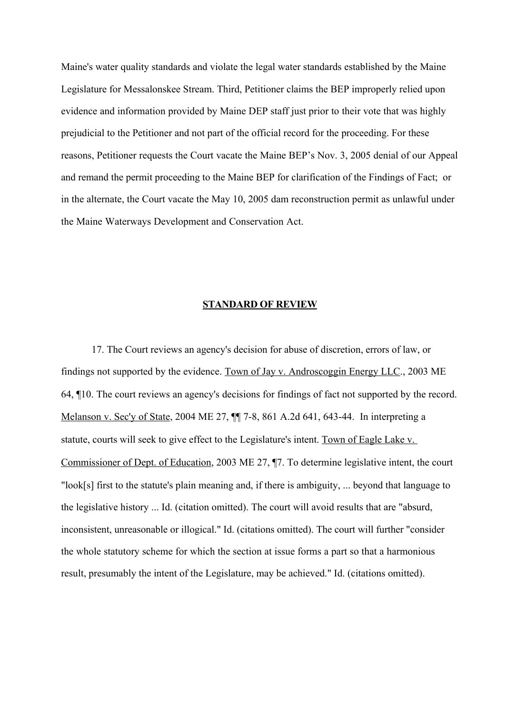Maine's water quality standards and violate the legal water standards established by the Maine Legislature for Messalonskee Stream. Third, Petitioner claims the BEP improperly relied upon evidence and information provided by Maine DEP staff just prior to their vote that was highly prejudicial to the Petitioner and not part of the official record for the proceeding. For these reasons, Petitioner requests the Court vacate the Maine BEP's Nov. 3, 2005 denial of our Appeal and remand the permit proceeding to the Maine BEP for clarification of the Findings of Fact; or in the alternate, the Court vacate the May 10, 2005 dam reconstruction permit as unlawful under the Maine Waterways Development and Conservation Act.

#### **STANDARD OF REVIEW**

17. The Court reviews an agency's decision for abuse of discretion, errors of law, or findings not supported by the evidence. Town of Jay v. Androscoggin Energy LLC., 2003 ME 64, ¶10. The court reviews an agency's decisions for findings of fact not supported by the record. Melanson v. Sec'y of State, 2004 ME 27, ¶¶ 7-8, 861 A.2d 641, 643-44. In interpreting a statute, courts will seek to give effect to the Legislature's intent. Town of Eagle Lake v. Commissioner of Dept. of Education, 2003 ME 27, ¶7. To determine legislative intent, the court "look[s] first to the statute's plain meaning and, if there is ambiguity, ... beyond that language to the legislative history ... Id. (citation omitted). The court will avoid results that are "absurd, inconsistent, unreasonable or illogical." Id. (citations omitted). The court will further "consider the whole statutory scheme for which the section at issue forms a part so that a harmonious result, presumably the intent of the Legislature, may be achieved." Id. (citations omitted).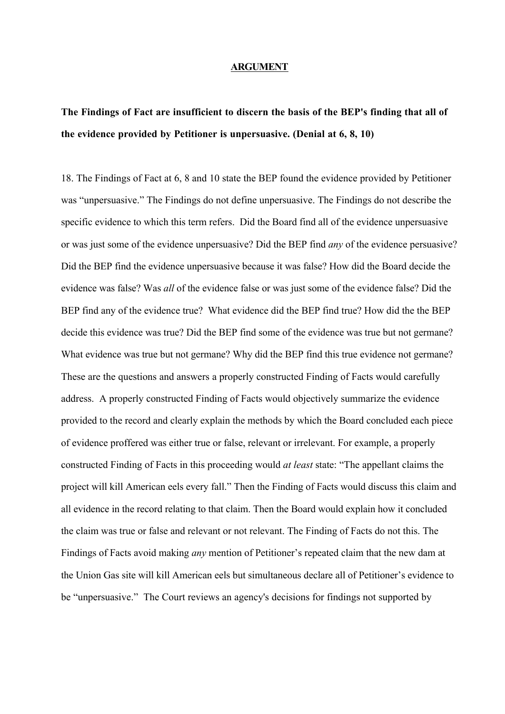#### **ARGUMENT**

# **The Findings of Fact are insufficient to discern the basis of the BEP's finding that all of the evidence provided by Petitioner is unpersuasive. (Denial at 6, 8, 10)**

18. The Findings of Fact at 6, 8 and 10 state the BEP found the evidence provided by Petitioner was "unpersuasive." The Findings do not define unpersuasive. The Findings do not describe the specific evidence to which this term refers. Did the Board find all of the evidence unpersuasive or was just some of the evidence unpersuasive? Did the BEP find *any* of the evidence persuasive? Did the BEP find the evidence unpersuasive because it was false? How did the Board decide the evidence was false? Was *all* of the evidence false or was just some of the evidence false? Did the BEP find any of the evidence true? What evidence did the BEP find true? How did the the BEP decide this evidence was true? Did the BEP find some of the evidence was true but not germane? What evidence was true but not germane? Why did the BEP find this true evidence not germane? These are the questions and answers a properly constructed Finding of Facts would carefully address. A properly constructed Finding of Facts would objectively summarize the evidence provided to the record and clearly explain the methods by which the Board concluded each piece of evidence proffered was either true or false, relevant or irrelevant. For example, a properly constructed Finding of Facts in this proceeding would *at least* state: "The appellant claims the project will kill American eels every fall." Then the Finding of Facts would discuss this claim and all evidence in the record relating to that claim. Then the Board would explain how it concluded the claim was true or false and relevant or not relevant. The Finding of Facts do not this. The Findings of Facts avoid making *any* mention of Petitioner's repeated claim that the new dam at the Union Gas site will kill American eels but simultaneous declare all of Petitioner's evidence to be "unpersuasive." The Court reviews an agency's decisions for findings not supported by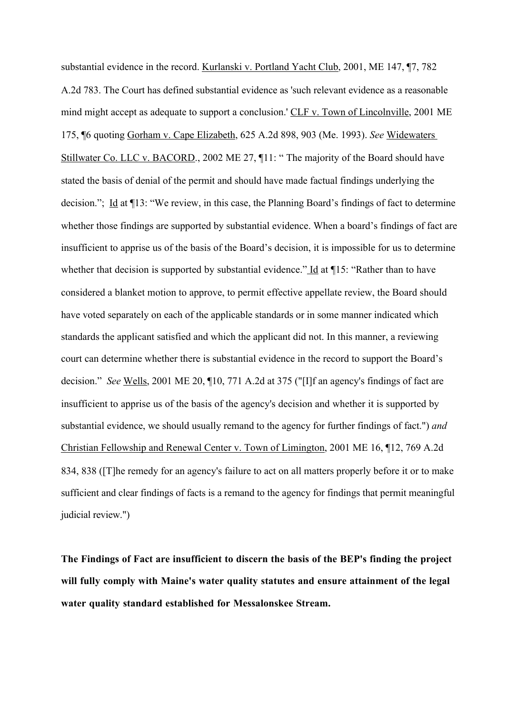substantial evidence in the record. Kurlanski v. Portland Yacht Club, 2001, ME 147, ¶7, 782 A.2d 783. The Court has defined substantial evidence as 'such relevant evidence as a reasonable mind might accept as adequate to support a conclusion.' CLF v. Town of Lincolnville, 2001 ME 175, ¶6 quoting Gorham v. Cape Elizabeth, 625 A.2d 898, 903 (Me. 1993). *See* Widewaters Stillwater Co. LLC v. BACORD., 2002 ME 27, ¶11: " The majority of the Board should have stated the basis of denial of the permit and should have made factual findings underlying the decision."; Id at  $\P$ 13: "We review, in this case, the Planning Board's findings of fact to determine whether those findings are supported by substantial evidence. When a board's findings of fact are insufficient to apprise us of the basis of the Board's decision, it is impossible for us to determine whether that decision is supported by substantial evidence." Id at 115: "Rather than to have considered a blanket motion to approve, to permit effective appellate review, the Board should have voted separately on each of the applicable standards or in some manner indicated which standards the applicant satisfied and which the applicant did not. In this manner, a reviewing court can determine whether there is substantial evidence in the record to support the Board's decision." *See* Wells, 2001 ME 20, ¶10, 771 A.2d at 375 ("[I]f an agency's findings of fact are insufficient to apprise us of the basis of the agency's decision and whether it is supported by substantial evidence, we should usually remand to the agency for further findings of fact.") *and*  Christian Fellowship and Renewal Center v. Town of Limington, 2001 ME 16, ¶12, 769 A.2d 834, 838 ([T]he remedy for an agency's failure to act on all matters properly before it or to make sufficient and clear findings of facts is a remand to the agency for findings that permit meaningful judicial review.")

**The Findings of Fact are insufficient to discern the basis of the BEP's finding the project will fully comply with Maine's water quality statutes and ensure attainment of the legal water quality standard established for Messalonskee Stream.**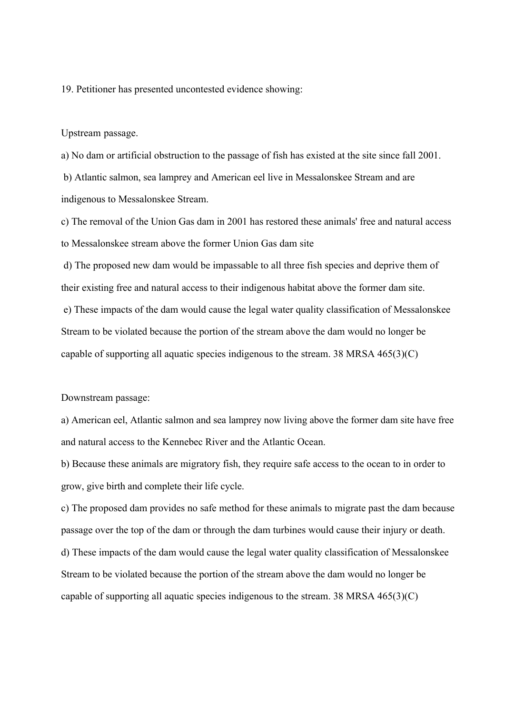19. Petitioner has presented uncontested evidence showing:

Upstream passage.

a) No dam or artificial obstruction to the passage of fish has existed at the site since fall 2001.

 b) Atlantic salmon, sea lamprey and American eel live in Messalonskee Stream and are indigenous to Messalonskee Stream.

c) The removal of the Union Gas dam in 2001 has restored these animals' free and natural access to Messalonskee stream above the former Union Gas dam site

d) The proposed new dam would be impassable to all three fish species and deprive them of their existing free and natural access to their indigenous habitat above the former dam site.

 e) These impacts of the dam would cause the legal water quality classification of Messalonskee Stream to be violated because the portion of the stream above the dam would no longer be capable of supporting all aquatic species indigenous to the stream. 38 MRSA 465(3)(C)

Downstream passage:

a) American eel, Atlantic salmon and sea lamprey now living above the former dam site have free and natural access to the Kennebec River and the Atlantic Ocean.

b) Because these animals are migratory fish, they require safe access to the ocean to in order to grow, give birth and complete their life cycle.

c) The proposed dam provides no safe method for these animals to migrate past the dam because passage over the top of the dam or through the dam turbines would cause their injury or death. d) These impacts of the dam would cause the legal water quality classification of Messalonskee Stream to be violated because the portion of the stream above the dam would no longer be capable of supporting all aquatic species indigenous to the stream. 38 MRSA 465(3)(C)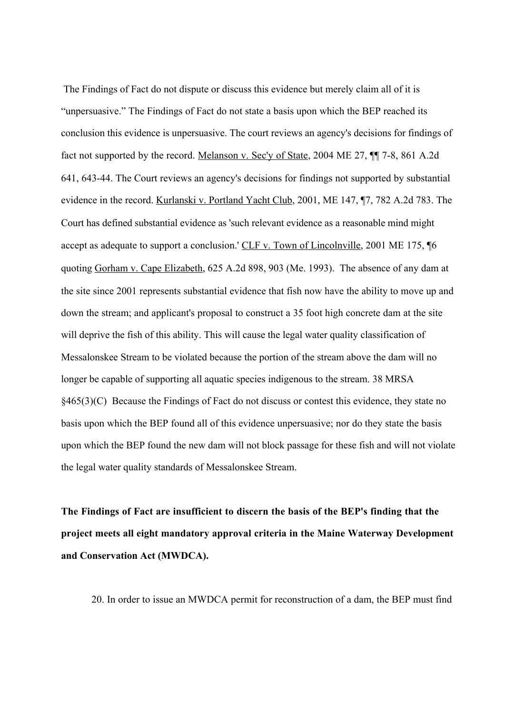The Findings of Fact do not dispute or discuss this evidence but merely claim all of it is "unpersuasive." The Findings of Fact do not state a basis upon which the BEP reached its conclusion this evidence is unpersuasive. The court reviews an agency's decisions for findings of fact not supported by the record. Melanson v. Sec'y of State, 2004 ME 27, ¶¶ 7-8, 861 A.2d 641, 643-44. The Court reviews an agency's decisions for findings not supported by substantial evidence in the record. Kurlanski v. Portland Yacht Club, 2001, ME 147, ¶7, 782 A.2d 783. The Court has defined substantial evidence as 'such relevant evidence as a reasonable mind might accept as adequate to support a conclusion.' CLF v. Town of Lincolnville, 2001 ME 175, 16 quoting Gorham v. Cape Elizabeth, 625 A.2d 898, 903 (Me. 1993). The absence of any dam at the site since 2001 represents substantial evidence that fish now have the ability to move up and down the stream; and applicant's proposal to construct a 35 foot high concrete dam at the site will deprive the fish of this ability. This will cause the legal water quality classification of Messalonskee Stream to be violated because the portion of the stream above the dam will no longer be capable of supporting all aquatic species indigenous to the stream. 38 MRSA §465(3)(C) Because the Findings of Fact do not discuss or contest this evidence, they state no basis upon which the BEP found all of this evidence unpersuasive; nor do they state the basis upon which the BEP found the new dam will not block passage for these fish and will not violate the legal water quality standards of Messalonskee Stream.

**The Findings of Fact are insufficient to discern the basis of the BEP's finding that the project meets all eight mandatory approval criteria in the Maine Waterway Development and Conservation Act (MWDCA).**

20. In order to issue an MWDCA permit for reconstruction of a dam, the BEP must find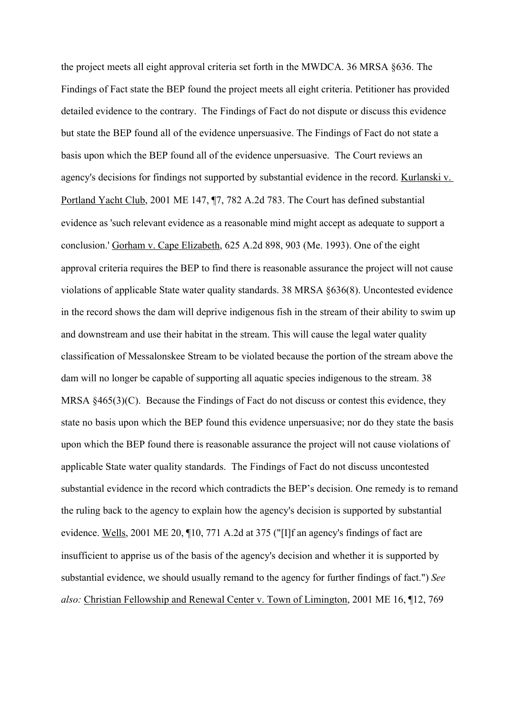the project meets all eight approval criteria set forth in the MWDCA. 36 MRSA §636. The Findings of Fact state the BEP found the project meets all eight criteria. Petitioner has provided detailed evidence to the contrary. The Findings of Fact do not dispute or discuss this evidence but state the BEP found all of the evidence unpersuasive. The Findings of Fact do not state a basis upon which the BEP found all of the evidence unpersuasive. The Court reviews an agency's decisions for findings not supported by substantial evidence in the record. Kurlanski v. Portland Yacht Club, 2001 ME 147, ¶7, 782 A.2d 783. The Court has defined substantial evidence as 'such relevant evidence as a reasonable mind might accept as adequate to support a conclusion.' Gorham v. Cape Elizabeth, 625 A.2d 898, 903 (Me. 1993). One of the eight approval criteria requires the BEP to find there is reasonable assurance the project will not cause violations of applicable State water quality standards. 38 MRSA §636(8). Uncontested evidence in the record shows the dam will deprive indigenous fish in the stream of their ability to swim up and downstream and use their habitat in the stream. This will cause the legal water quality classification of Messalonskee Stream to be violated because the portion of the stream above the dam will no longer be capable of supporting all aquatic species indigenous to the stream. 38 MRSA §465(3)(C). Because the Findings of Fact do not discuss or contest this evidence, they state no basis upon which the BEP found this evidence unpersuasive; nor do they state the basis upon which the BEP found there is reasonable assurance the project will not cause violations of applicable State water quality standards. The Findings of Fact do not discuss uncontested substantial evidence in the record which contradicts the BEP's decision. One remedy is to remand the ruling back to the agency to explain how the agency's decision is supported by substantial evidence. Wells, 2001 ME 20, ¶10, 771 A.2d at 375 ("[I]f an agency's findings of fact are insufficient to apprise us of the basis of the agency's decision and whether it is supported by substantial evidence, we should usually remand to the agency for further findings of fact.") *See also:* Christian Fellowship and Renewal Center v. Town of Limington, 2001 ME 16, ¶12, 769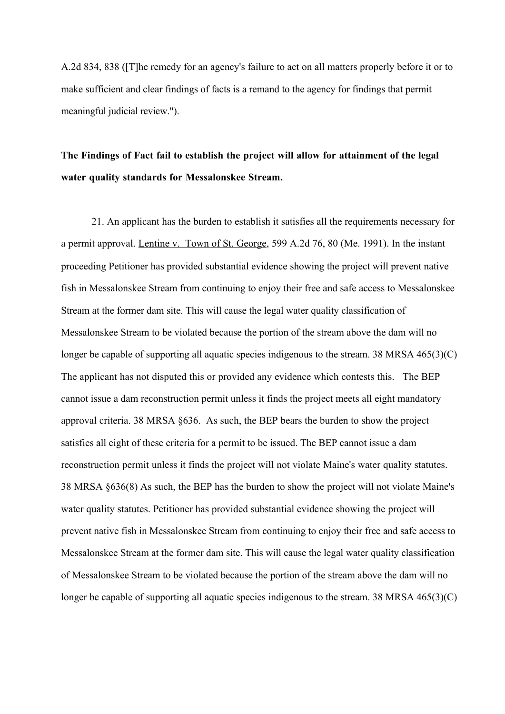A.2d 834, 838 ([T]he remedy for an agency's failure to act on all matters properly before it or to make sufficient and clear findings of facts is a remand to the agency for findings that permit meaningful judicial review.").

# **The Findings of Fact fail to establish the project will allow for attainment of the legal water quality standards for Messalonskee Stream.**

21. An applicant has the burden to establish it satisfies all the requirements necessary for a permit approval. Lentine v. Town of St. George, 599 A.2d 76, 80 (Me. 1991). In the instant proceeding Petitioner has provided substantial evidence showing the project will prevent native fish in Messalonskee Stream from continuing to enjoy their free and safe access to Messalonskee Stream at the former dam site. This will cause the legal water quality classification of Messalonskee Stream to be violated because the portion of the stream above the dam will no longer be capable of supporting all aquatic species indigenous to the stream. 38 MRSA 465(3)(C) The applicant has not disputed this or provided any evidence which contests this. The BEP cannot issue a dam reconstruction permit unless it finds the project meets all eight mandatory approval criteria. 38 MRSA §636. As such, the BEP bears the burden to show the project satisfies all eight of these criteria for a permit to be issued. The BEP cannot issue a dam reconstruction permit unless it finds the project will not violate Maine's water quality statutes. 38 MRSA §636(8) As such, the BEP has the burden to show the project will not violate Maine's water quality statutes. Petitioner has provided substantial evidence showing the project will prevent native fish in Messalonskee Stream from continuing to enjoy their free and safe access to Messalonskee Stream at the former dam site. This will cause the legal water quality classification of Messalonskee Stream to be violated because the portion of the stream above the dam will no longer be capable of supporting all aquatic species indigenous to the stream. 38 MRSA 465(3)(C)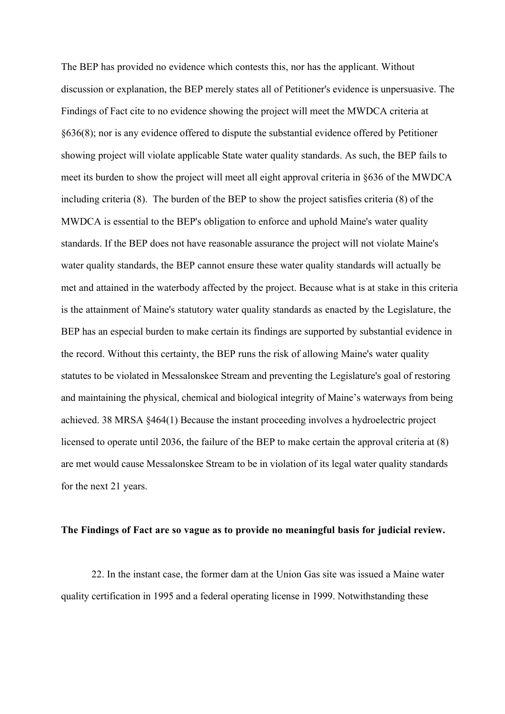The BEP has provided no evidence which contests this, nor has the applicant. Without discussion or explanation, the BEP merely states all of Petitioner's evidence is unpersuasive. The Findings of Fact cite to no evidence showing the project will meet the MWDCA criteria at §636(8); nor is any evidence offered to dispute the substantial evidence offered by Petitioner showing project will violate applicable State water quality standards. As such, the BEP fails to meet its burden to show the project will meet all eight approval criteria in §636 of the MWDCA including criteria (8). The burden of the BEP to show the project satisfies criteria (8) of the MWDCA is essential to the BEP's obligation to enforce and uphold Maine's water quality standards. If the BEP does not have reasonable assurance the project will not violate Maine's water quality standards, the BEP cannot ensure these water quality standards will actually be met and attained in the waterbody affected by the project. Because what is at stake in this criteria is the attainment of Maine's statutory water quality standards as enacted by the Legislature, the BEP has an especial burden to make certain its findings are supported by substantial evidence in the record. Without this certainty, the BEP runs the risk of allowing Maine's water quality statutes to be violated in Messalonskee Stream and preventing the Legislature's goal of restoring and maintaining the physical, chemical and biological integrity of Maine's waterways from being achieved. 38 MRSA §464(1) Because the instant proceeding involves a hydroelectric project licensed to operate until 2036, the failure of the BEP to make certain the approval criteria at (8) are met would cause Messalonskee Stream to be in violation of its legal water quality standards for the next 21 years.

#### **The Findings of Fact are so vague as to provide no meaningful basis for judicial review.**

22. In the instant case, the former dam at the Union Gas site was issued a Maine water quality certification in 1995 and a federal operating license in 1999. Notwithstanding these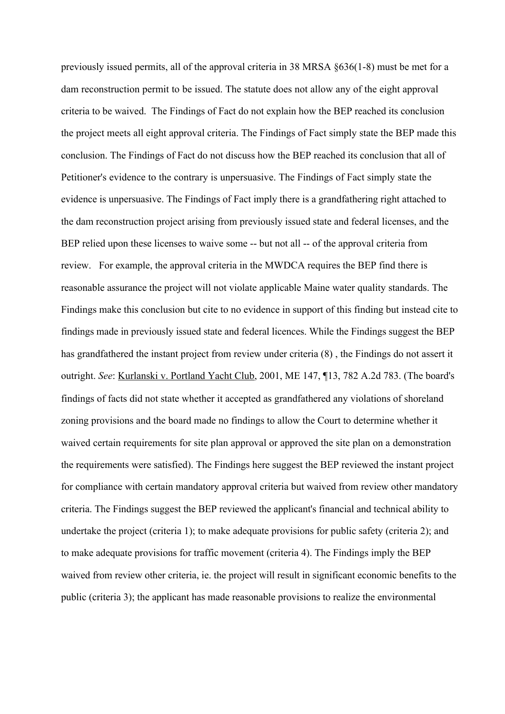previously issued permits, all of the approval criteria in 38 MRSA §636(1-8) must be met for a dam reconstruction permit to be issued. The statute does not allow any of the eight approval criteria to be waived. The Findings of Fact do not explain how the BEP reached its conclusion the project meets all eight approval criteria. The Findings of Fact simply state the BEP made this conclusion. The Findings of Fact do not discuss how the BEP reached its conclusion that all of Petitioner's evidence to the contrary is unpersuasive. The Findings of Fact simply state the evidence is unpersuasive. The Findings of Fact imply there is a grandfathering right attached to the dam reconstruction project arising from previously issued state and federal licenses, and the BEP relied upon these licenses to waive some -- but not all -- of the approval criteria from review. For example, the approval criteria in the MWDCA requires the BEP find there is reasonable assurance the project will not violate applicable Maine water quality standards. The Findings make this conclusion but cite to no evidence in support of this finding but instead cite to findings made in previously issued state and federal licences. While the Findings suggest the BEP has grandfathered the instant project from review under criteria (8) , the Findings do not assert it outright. *See*: Kurlanski v. Portland Yacht Club, 2001, ME 147, ¶13, 782 A.2d 783. (The board's findings of facts did not state whether it accepted as grandfathered any violations of shoreland zoning provisions and the board made no findings to allow the Court to determine whether it waived certain requirements for site plan approval or approved the site plan on a demonstration the requirements were satisfied). The Findings here suggest the BEP reviewed the instant project for compliance with certain mandatory approval criteria but waived from review other mandatory criteria. The Findings suggest the BEP reviewed the applicant's financial and technical ability to undertake the project (criteria 1); to make adequate provisions for public safety (criteria 2); and to make adequate provisions for traffic movement (criteria 4). The Findings imply the BEP waived from review other criteria, ie. the project will result in significant economic benefits to the public (criteria 3); the applicant has made reasonable provisions to realize the environmental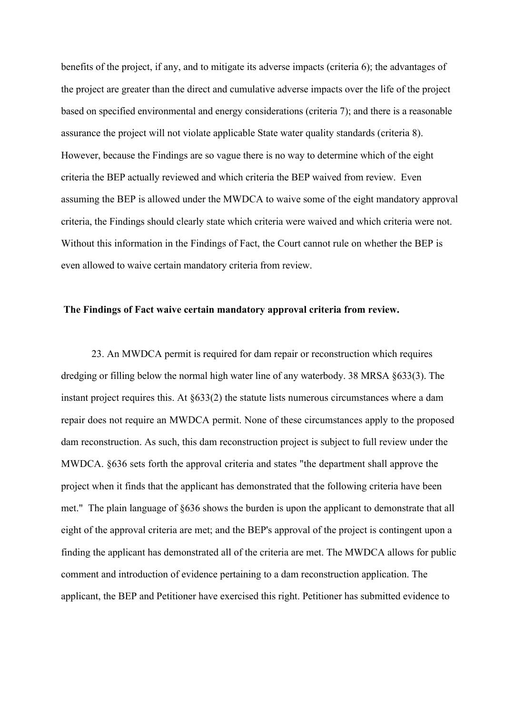benefits of the project, if any, and to mitigate its adverse impacts (criteria 6); the advantages of the project are greater than the direct and cumulative adverse impacts over the life of the project based on specified environmental and energy considerations (criteria 7); and there is a reasonable assurance the project will not violate applicable State water quality standards (criteria 8). However, because the Findings are so vague there is no way to determine which of the eight criteria the BEP actually reviewed and which criteria the BEP waived from review. Even assuming the BEP is allowed under the MWDCA to waive some of the eight mandatory approval criteria, the Findings should clearly state which criteria were waived and which criteria were not. Without this information in the Findings of Fact, the Court cannot rule on whether the BEP is even allowed to waive certain mandatory criteria from review.

#### **The Findings of Fact waive certain mandatory approval criteria from review.**

23. An MWDCA permit is required for dam repair or reconstruction which requires dredging or filling below the normal high water line of any waterbody. 38 MRSA §633(3). The instant project requires this. At §633(2) the statute lists numerous circumstances where a dam repair does not require an MWDCA permit. None of these circumstances apply to the proposed dam reconstruction. As such, this dam reconstruction project is subject to full review under the MWDCA. §636 sets forth the approval criteria and states "the department shall approve the project when it finds that the applicant has demonstrated that the following criteria have been met." The plain language of §636 shows the burden is upon the applicant to demonstrate that all eight of the approval criteria are met; and the BEP's approval of the project is contingent upon a finding the applicant has demonstrated all of the criteria are met. The MWDCA allows for public comment and introduction of evidence pertaining to a dam reconstruction application. The applicant, the BEP and Petitioner have exercised this right. Petitioner has submitted evidence to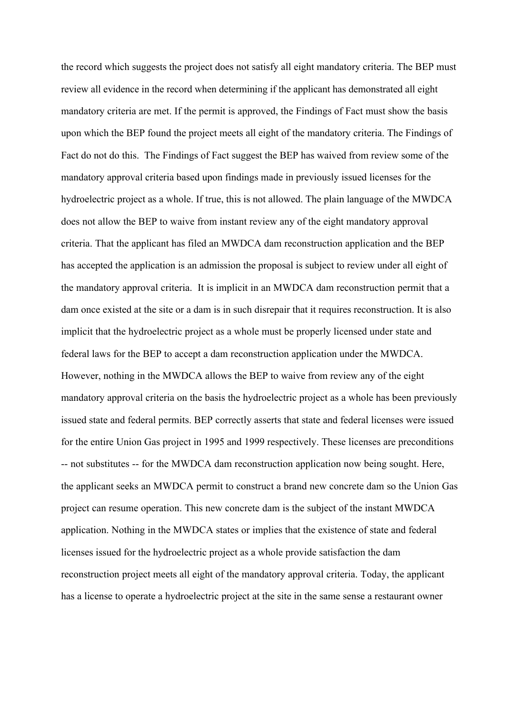the record which suggests the project does not satisfy all eight mandatory criteria. The BEP must review all evidence in the record when determining if the applicant has demonstrated all eight mandatory criteria are met. If the permit is approved, the Findings of Fact must show the basis upon which the BEP found the project meets all eight of the mandatory criteria. The Findings of Fact do not do this. The Findings of Fact suggest the BEP has waived from review some of the mandatory approval criteria based upon findings made in previously issued licenses for the hydroelectric project as a whole. If true, this is not allowed. The plain language of the MWDCA does not allow the BEP to waive from instant review any of the eight mandatory approval criteria. That the applicant has filed an MWDCA dam reconstruction application and the BEP has accepted the application is an admission the proposal is subject to review under all eight of the mandatory approval criteria. It is implicit in an MWDCA dam reconstruction permit that a dam once existed at the site or a dam is in such disrepair that it requires reconstruction. It is also implicit that the hydroelectric project as a whole must be properly licensed under state and federal laws for the BEP to accept a dam reconstruction application under the MWDCA. However, nothing in the MWDCA allows the BEP to waive from review any of the eight mandatory approval criteria on the basis the hydroelectric project as a whole has been previously issued state and federal permits. BEP correctly asserts that state and federal licenses were issued for the entire Union Gas project in 1995 and 1999 respectively. These licenses are preconditions -- not substitutes -- for the MWDCA dam reconstruction application now being sought. Here, the applicant seeks an MWDCA permit to construct a brand new concrete dam so the Union Gas project can resume operation. This new concrete dam is the subject of the instant MWDCA application. Nothing in the MWDCA states or implies that the existence of state and federal licenses issued for the hydroelectric project as a whole provide satisfaction the dam reconstruction project meets all eight of the mandatory approval criteria. Today, the applicant has a license to operate a hydroelectric project at the site in the same sense a restaurant owner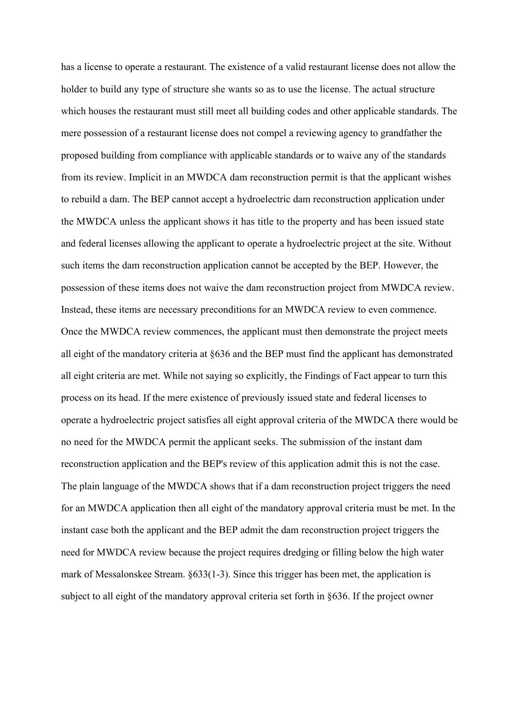has a license to operate a restaurant. The existence of a valid restaurant license does not allow the holder to build any type of structure she wants so as to use the license. The actual structure which houses the restaurant must still meet all building codes and other applicable standards. The mere possession of a restaurant license does not compel a reviewing agency to grandfather the proposed building from compliance with applicable standards or to waive any of the standards from its review. Implicit in an MWDCA dam reconstruction permit is that the applicant wishes to rebuild a dam. The BEP cannot accept a hydroelectric dam reconstruction application under the MWDCA unless the applicant shows it has title to the property and has been issued state and federal licenses allowing the applicant to operate a hydroelectric project at the site. Without such items the dam reconstruction application cannot be accepted by the BEP. However, the possession of these items does not waive the dam reconstruction project from MWDCA review. Instead, these items are necessary preconditions for an MWDCA review to even commence. Once the MWDCA review commences, the applicant must then demonstrate the project meets all eight of the mandatory criteria at §636 and the BEP must find the applicant has demonstrated all eight criteria are met. While not saying so explicitly, the Findings of Fact appear to turn this process on its head. If the mere existence of previously issued state and federal licenses to operate a hydroelectric project satisfies all eight approval criteria of the MWDCA there would be no need for the MWDCA permit the applicant seeks. The submission of the instant dam reconstruction application and the BEP's review of this application admit this is not the case. The plain language of the MWDCA shows that if a dam reconstruction project triggers the need for an MWDCA application then all eight of the mandatory approval criteria must be met. In the instant case both the applicant and the BEP admit the dam reconstruction project triggers the need for MWDCA review because the project requires dredging or filling below the high water mark of Messalonskee Stream. §633(1-3). Since this trigger has been met, the application is subject to all eight of the mandatory approval criteria set forth in §636. If the project owner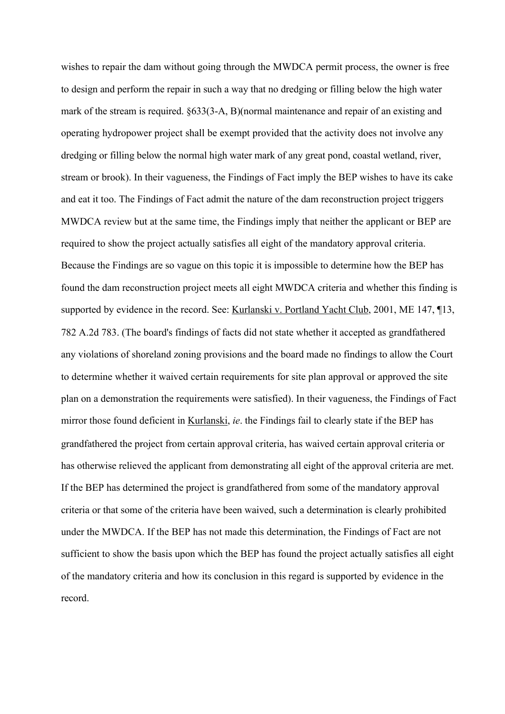wishes to repair the dam without going through the MWDCA permit process, the owner is free to design and perform the repair in such a way that no dredging or filling below the high water mark of the stream is required. §633(3-A, B)(normal maintenance and repair of an existing and operating hydropower project shall be exempt provided that the activity does not involve any dredging or filling below the normal high water mark of any great pond, coastal wetland, river, stream or brook). In their vagueness, the Findings of Fact imply the BEP wishes to have its cake and eat it too. The Findings of Fact admit the nature of the dam reconstruction project triggers MWDCA review but at the same time, the Findings imply that neither the applicant or BEP are required to show the project actually satisfies all eight of the mandatory approval criteria. Because the Findings are so vague on this topic it is impossible to determine how the BEP has found the dam reconstruction project meets all eight MWDCA criteria and whether this finding is supported by evidence in the record. See: Kurlanski v. Portland Yacht Club, 2001, ME 147, ¶13, 782 A.2d 783. (The board's findings of facts did not state whether it accepted as grandfathered any violations of shoreland zoning provisions and the board made no findings to allow the Court to determine whether it waived certain requirements for site plan approval or approved the site plan on a demonstration the requirements were satisfied). In their vagueness, the Findings of Fact mirror those found deficient in Kurlanski, *ie*. the Findings fail to clearly state if the BEP has grandfathered the project from certain approval criteria, has waived certain approval criteria or has otherwise relieved the applicant from demonstrating all eight of the approval criteria are met. If the BEP has determined the project is grandfathered from some of the mandatory approval criteria or that some of the criteria have been waived, such a determination is clearly prohibited under the MWDCA. If the BEP has not made this determination, the Findings of Fact are not sufficient to show the basis upon which the BEP has found the project actually satisfies all eight of the mandatory criteria and how its conclusion in this regard is supported by evidence in the record.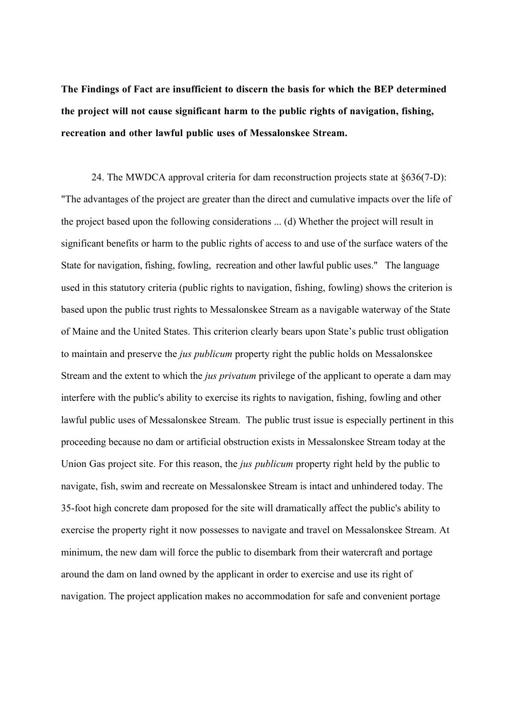**The Findings of Fact are insufficient to discern the basis for which the BEP determined the project will not cause significant harm to the public rights of navigation, fishing, recreation and other lawful public uses of Messalonskee Stream.** 

24. The MWDCA approval criteria for dam reconstruction projects state at §636(7-D): "The advantages of the project are greater than the direct and cumulative impacts over the life of the project based upon the following considerations ... (d) Whether the project will result in significant benefits or harm to the public rights of access to and use of the surface waters of the State for navigation, fishing, fowling, recreation and other lawful public uses." The language used in this statutory criteria (public rights to navigation, fishing, fowling) shows the criterion is based upon the public trust rights to Messalonskee Stream as a navigable waterway of the State of Maine and the United States. This criterion clearly bears upon State's public trust obligation to maintain and preserve the *jus publicum* property right the public holds on Messalonskee Stream and the extent to which the *jus privatum* privilege of the applicant to operate a dam may interfere with the public's ability to exercise its rights to navigation, fishing, fowling and other lawful public uses of Messalonskee Stream. The public trust issue is especially pertinent in this proceeding because no dam or artificial obstruction exists in Messalonskee Stream today at the Union Gas project site. For this reason, the *jus publicum* property right held by the public to navigate, fish, swim and recreate on Messalonskee Stream is intact and unhindered today. The 35-foot high concrete dam proposed for the site will dramatically affect the public's ability to exercise the property right it now possesses to navigate and travel on Messalonskee Stream. At minimum, the new dam will force the public to disembark from their watercraft and portage around the dam on land owned by the applicant in order to exercise and use its right of navigation. The project application makes no accommodation for safe and convenient portage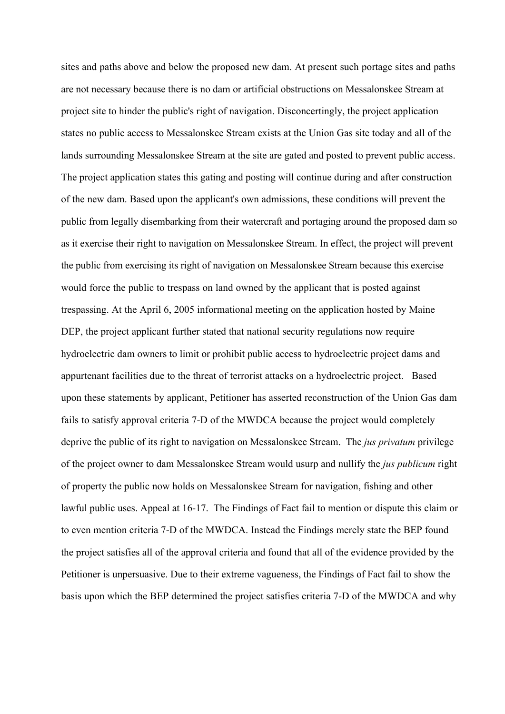sites and paths above and below the proposed new dam. At present such portage sites and paths are not necessary because there is no dam or artificial obstructions on Messalonskee Stream at project site to hinder the public's right of navigation. Disconcertingly, the project application states no public access to Messalonskee Stream exists at the Union Gas site today and all of the lands surrounding Messalonskee Stream at the site are gated and posted to prevent public access. The project application states this gating and posting will continue during and after construction of the new dam. Based upon the applicant's own admissions, these conditions will prevent the public from legally disembarking from their watercraft and portaging around the proposed dam so as it exercise their right to navigation on Messalonskee Stream. In effect, the project will prevent the public from exercising its right of navigation on Messalonskee Stream because this exercise would force the public to trespass on land owned by the applicant that is posted against trespassing. At the April 6, 2005 informational meeting on the application hosted by Maine DEP, the project applicant further stated that national security regulations now require hydroelectric dam owners to limit or prohibit public access to hydroelectric project dams and appurtenant facilities due to the threat of terrorist attacks on a hydroelectric project. Based upon these statements by applicant, Petitioner has asserted reconstruction of the Union Gas dam fails to satisfy approval criteria 7-D of the MWDCA because the project would completely deprive the public of its right to navigation on Messalonskee Stream. The *jus privatum* privilege of the project owner to dam Messalonskee Stream would usurp and nullify the *jus publicum* right of property the public now holds on Messalonskee Stream for navigation, fishing and other lawful public uses. Appeal at 16-17. The Findings of Fact fail to mention or dispute this claim or to even mention criteria 7-D of the MWDCA. Instead the Findings merely state the BEP found the project satisfies all of the approval criteria and found that all of the evidence provided by the Petitioner is unpersuasive. Due to their extreme vagueness, the Findings of Fact fail to show the basis upon which the BEP determined the project satisfies criteria 7-D of the MWDCA and why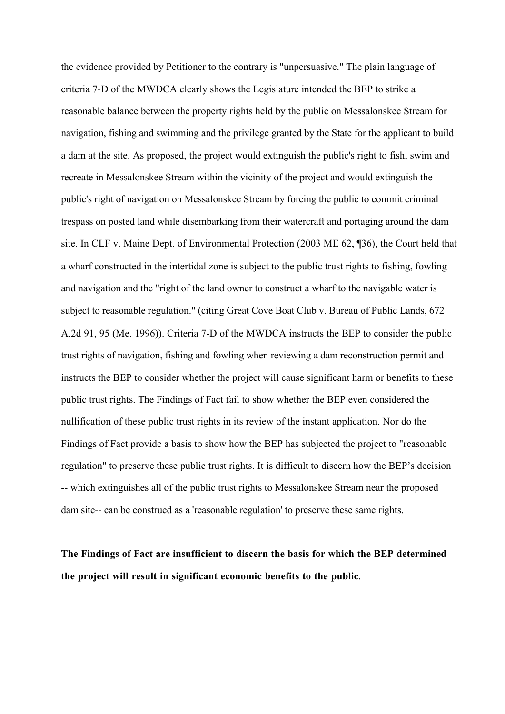the evidence provided by Petitioner to the contrary is "unpersuasive." The plain language of criteria 7-D of the MWDCA clearly shows the Legislature intended the BEP to strike a reasonable balance between the property rights held by the public on Messalonskee Stream for navigation, fishing and swimming and the privilege granted by the State for the applicant to build a dam at the site. As proposed, the project would extinguish the public's right to fish, swim and recreate in Messalonskee Stream within the vicinity of the project and would extinguish the public's right of navigation on Messalonskee Stream by forcing the public to commit criminal trespass on posted land while disembarking from their watercraft and portaging around the dam site. In CLF v. Maine Dept. of Environmental Protection (2003 ME 62, ¶36), the Court held that a wharf constructed in the intertidal zone is subject to the public trust rights to fishing, fowling and navigation and the "right of the land owner to construct a wharf to the navigable water is subject to reasonable regulation." (citing Great Cove Boat Club v. Bureau of Public Lands, 672 A.2d 91, 95 (Me. 1996)). Criteria 7-D of the MWDCA instructs the BEP to consider the public trust rights of navigation, fishing and fowling when reviewing a dam reconstruction permit and instructs the BEP to consider whether the project will cause significant harm or benefits to these public trust rights. The Findings of Fact fail to show whether the BEP even considered the nullification of these public trust rights in its review of the instant application. Nor do the Findings of Fact provide a basis to show how the BEP has subjected the project to "reasonable regulation" to preserve these public trust rights. It is difficult to discern how the BEP's decision -- which extinguishes all of the public trust rights to Messalonskee Stream near the proposed dam site-- can be construed as a 'reasonable regulation' to preserve these same rights.

**The Findings of Fact are insufficient to discern the basis for which the BEP determined the project will result in significant economic benefits to the public**.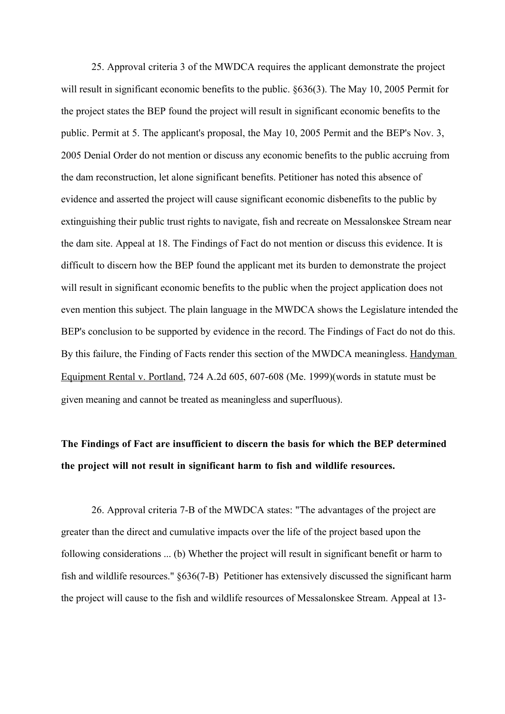25. Approval criteria 3 of the MWDCA requires the applicant demonstrate the project will result in significant economic benefits to the public.  $\S 636(3)$ . The May 10, 2005 Permit for the project states the BEP found the project will result in significant economic benefits to the public. Permit at 5. The applicant's proposal, the May 10, 2005 Permit and the BEP's Nov. 3, 2005 Denial Order do not mention or discuss any economic benefits to the public accruing from the dam reconstruction, let alone significant benefits. Petitioner has noted this absence of evidence and asserted the project will cause significant economic disbenefits to the public by extinguishing their public trust rights to navigate, fish and recreate on Messalonskee Stream near the dam site. Appeal at 18. The Findings of Fact do not mention or discuss this evidence. It is difficult to discern how the BEP found the applicant met its burden to demonstrate the project will result in significant economic benefits to the public when the project application does not even mention this subject. The plain language in the MWDCA shows the Legislature intended the BEP's conclusion to be supported by evidence in the record. The Findings of Fact do not do this. By this failure, the Finding of Facts render this section of the MWDCA meaningless. Handyman Equipment Rental v. Portland, 724 A.2d 605, 607-608 (Me. 1999)(words in statute must be given meaning and cannot be treated as meaningless and superfluous).

# **The Findings of Fact are insufficient to discern the basis for which the BEP determined the project will not result in significant harm to fish and wildlife resources.**

26. Approval criteria 7-B of the MWDCA states: "The advantages of the project are greater than the direct and cumulative impacts over the life of the project based upon the following considerations ... (b) Whether the project will result in significant benefit or harm to fish and wildlife resources." §636(7-B) Petitioner has extensively discussed the significant harm the project will cause to the fish and wildlife resources of Messalonskee Stream. Appeal at 13-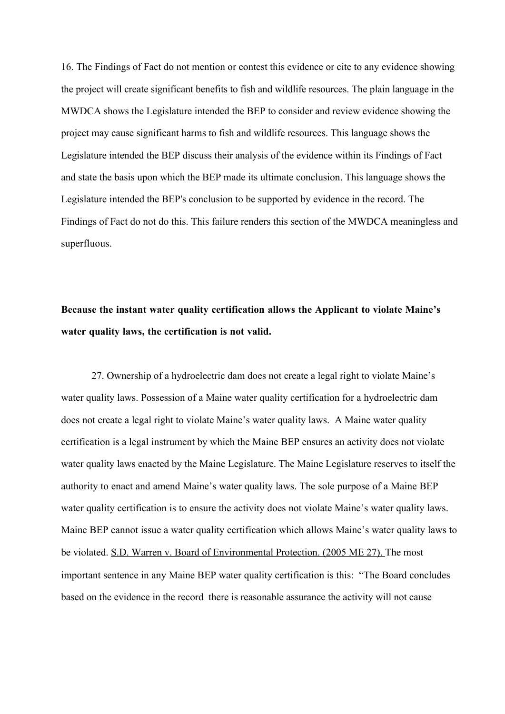16. The Findings of Fact do not mention or contest this evidence or cite to any evidence showing the project will create significant benefits to fish and wildlife resources. The plain language in the MWDCA shows the Legislature intended the BEP to consider and review evidence showing the project may cause significant harms to fish and wildlife resources. This language shows the Legislature intended the BEP discuss their analysis of the evidence within its Findings of Fact and state the basis upon which the BEP made its ultimate conclusion. This language shows the Legislature intended the BEP's conclusion to be supported by evidence in the record. The Findings of Fact do not do this. This failure renders this section of the MWDCA meaningless and superfluous.

## **Because the instant water quality certification allows the Applicant to violate Maine's water quality laws, the certification is not valid.**

27. Ownership of a hydroelectric dam does not create a legal right to violate Maine's water quality laws. Possession of a Maine water quality certification for a hydroelectric dam does not create a legal right to violate Maine's water quality laws. A Maine water quality certification is a legal instrument by which the Maine BEP ensures an activity does not violate water quality laws enacted by the Maine Legislature. The Maine Legislature reserves to itself the authority to enact and amend Maine's water quality laws. The sole purpose of a Maine BEP water quality certification is to ensure the activity does not violate Maine's water quality laws. Maine BEP cannot issue a water quality certification which allows Maine's water quality laws to be violated. S.D. Warren v. Board of Environmental Protection. (2005 ME 27). The most important sentence in any Maine BEP water quality certification is this: "The Board concludes based on the evidence in the record there is reasonable assurance the activity will not cause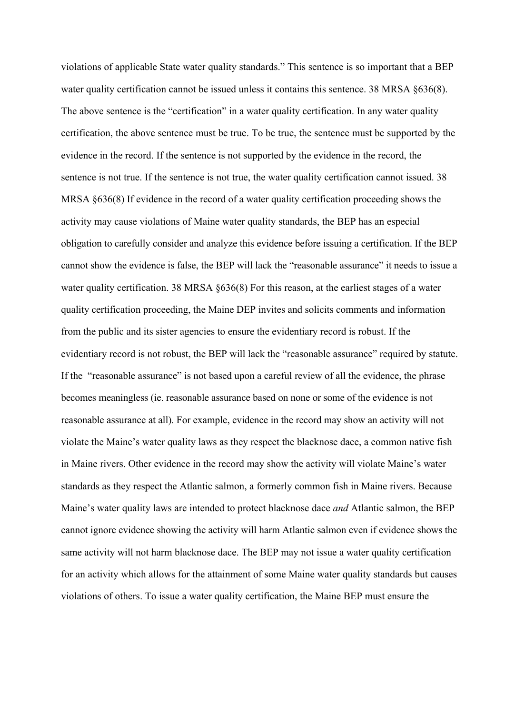violations of applicable State water quality standards." This sentence is so important that a BEP water quality certification cannot be issued unless it contains this sentence. 38 MRSA §636(8). The above sentence is the "certification" in a water quality certification. In any water quality certification, the above sentence must be true. To be true, the sentence must be supported by the evidence in the record. If the sentence is not supported by the evidence in the record, the sentence is not true. If the sentence is not true, the water quality certification cannot issued. 38 MRSA  $\S 636(8)$  If evidence in the record of a water quality certification proceeding shows the activity may cause violations of Maine water quality standards, the BEP has an especial obligation to carefully consider and analyze this evidence before issuing a certification. If the BEP cannot show the evidence is false, the BEP will lack the "reasonable assurance" it needs to issue a water quality certification. 38 MRSA  $\&636(8)$  For this reason, at the earliest stages of a water quality certification proceeding, the Maine DEP invites and solicits comments and information from the public and its sister agencies to ensure the evidentiary record is robust. If the evidentiary record is not robust, the BEP will lack the "reasonable assurance" required by statute. If the "reasonable assurance" is not based upon a careful review of all the evidence, the phrase becomes meaningless (ie. reasonable assurance based on none or some of the evidence is not reasonable assurance at all). For example, evidence in the record may show an activity will not violate the Maine's water quality laws as they respect the blacknose dace, a common native fish in Maine rivers. Other evidence in the record may show the activity will violate Maine's water standards as they respect the Atlantic salmon, a formerly common fish in Maine rivers. Because Maine's water quality laws are intended to protect blacknose dace *and* Atlantic salmon, the BEP cannot ignore evidence showing the activity will harm Atlantic salmon even if evidence shows the same activity will not harm blacknose dace. The BEP may not issue a water quality certification for an activity which allows for the attainment of some Maine water quality standards but causes violations of others. To issue a water quality certification, the Maine BEP must ensure the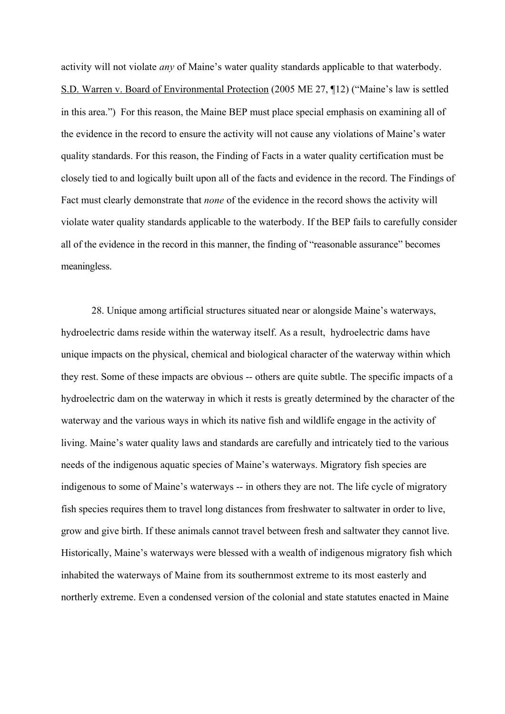activity will not violate *any* of Maine's water quality standards applicable to that waterbody. S.D. Warren v. Board of Environmental Protection (2005 ME 27, ¶12) ("Maine's law is settled in this area.") For this reason, the Maine BEP must place special emphasis on examining all of the evidence in the record to ensure the activity will not cause any violations of Maine's water quality standards. For this reason, the Finding of Facts in a water quality certification must be closely tied to and logically built upon all of the facts and evidence in the record. The Findings of Fact must clearly demonstrate that *none* of the evidence in the record shows the activity will violate water quality standards applicable to the waterbody. If the BEP fails to carefully consider all of the evidence in the record in this manner, the finding of "reasonable assurance" becomes meaningless.

28. Unique among artificial structures situated near or alongside Maine's waterways, hydroelectric dams reside within the waterway itself. As a result, hydroelectric dams have unique impacts on the physical, chemical and biological character of the waterway within which they rest. Some of these impacts are obvious -- others are quite subtle. The specific impacts of a hydroelectric dam on the waterway in which it rests is greatly determined by the character of the waterway and the various ways in which its native fish and wildlife engage in the activity of living. Maine's water quality laws and standards are carefully and intricately tied to the various needs of the indigenous aquatic species of Maine's waterways. Migratory fish species are indigenous to some of Maine's waterways -- in others they are not. The life cycle of migratory fish species requires them to travel long distances from freshwater to saltwater in order to live, grow and give birth. If these animals cannot travel between fresh and saltwater they cannot live. Historically, Maine's waterways were blessed with a wealth of indigenous migratory fish which inhabited the waterways of Maine from its southernmost extreme to its most easterly and northerly extreme. Even a condensed version of the colonial and state statutes enacted in Maine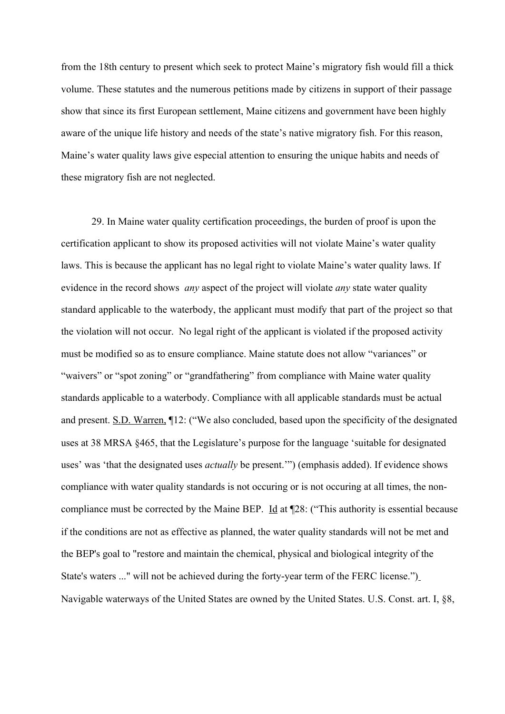from the 18th century to present which seek to protect Maine's migratory fish would fill a thick volume. These statutes and the numerous petitions made by citizens in support of their passage show that since its first European settlement, Maine citizens and government have been highly aware of the unique life history and needs of the state's native migratory fish. For this reason, Maine's water quality laws give especial attention to ensuring the unique habits and needs of these migratory fish are not neglected.

29. In Maine water quality certification proceedings, the burden of proof is upon the certification applicant to show its proposed activities will not violate Maine's water quality laws. This is because the applicant has no legal right to violate Maine's water quality laws. If evidence in the record shows *any* aspect of the project will violate *any* state water quality standard applicable to the waterbody, the applicant must modify that part of the project so that the violation will not occur. No legal right of the applicant is violated if the proposed activity must be modified so as to ensure compliance. Maine statute does not allow "variances" or "waivers" or "spot zoning" or "grandfathering" from compliance with Maine water quality standards applicable to a waterbody. Compliance with all applicable standards must be actual and present. S.D. Warren, ¶12: ("We also concluded, based upon the specificity of the designated uses at 38 MRSA §465, that the Legislature's purpose for the language 'suitable for designated uses' was 'that the designated uses *actually* be present.'") (emphasis added). If evidence shows compliance with water quality standards is not occuring or is not occuring at all times, the noncompliance must be corrected by the Maine BEP. Id at 128: ("This authority is essential because if the conditions are not as effective as planned, the water quality standards will not be met and the BEP's goal to "restore and maintain the chemical, physical and biological integrity of the State's waters ..." will not be achieved during the forty-year term of the FERC license.") Navigable waterways of the United States are owned by the United States. U.S. Const. art. I, §8,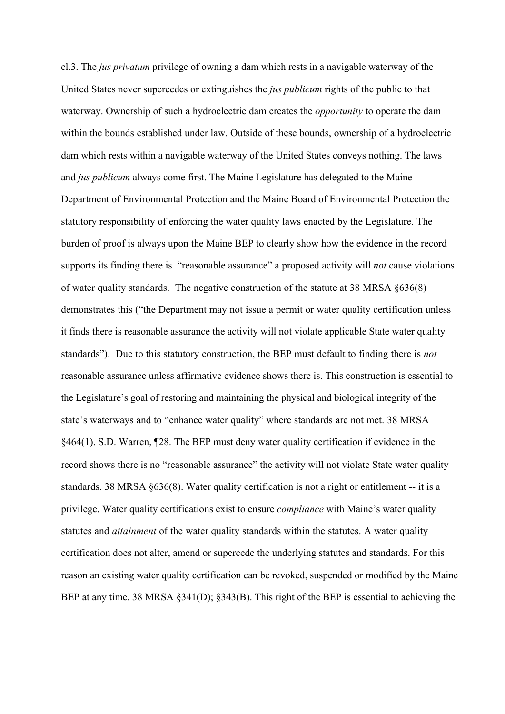cl.3. The *jus privatum* privilege of owning a dam which rests in a navigable waterway of the United States never supercedes or extinguishes the *jus publicum* rights of the public to that waterway. Ownership of such a hydroelectric dam creates the *opportunity* to operate the dam within the bounds established under law. Outside of these bounds, ownership of a hydroelectric dam which rests within a navigable waterway of the United States conveys nothing. The laws and *jus publicum* always come first. The Maine Legislature has delegated to the Maine Department of Environmental Protection and the Maine Board of Environmental Protection the statutory responsibility of enforcing the water quality laws enacted by the Legislature. The burden of proof is always upon the Maine BEP to clearly show how the evidence in the record supports its finding there is "reasonable assurance" a proposed activity will *not* cause violations of water quality standards. The negative construction of the statute at 38 MRSA §636(8) demonstrates this ("the Department may not issue a permit or water quality certification unless it finds there is reasonable assurance the activity will not violate applicable State water quality standards"). Due to this statutory construction, the BEP must default to finding there is *not* reasonable assurance unless affirmative evidence shows there is. This construction is essential to the Legislature's goal of restoring and maintaining the physical and biological integrity of the state's waterways and to "enhance water quality" where standards are not met. 38 MRSA §464(1). S.D. Warren, ¶28. The BEP must deny water quality certification if evidence in the record shows there is no "reasonable assurance" the activity will not violate State water quality standards. 38 MRSA §636(8). Water quality certification is not a right or entitlement -- it is a privilege. Water quality certifications exist to ensure *compliance* with Maine's water quality statutes and *attainment* of the water quality standards within the statutes. A water quality certification does not alter, amend or supercede the underlying statutes and standards. For this reason an existing water quality certification can be revoked, suspended or modified by the Maine BEP at any time. 38 MRSA §341(D); §343(B). This right of the BEP is essential to achieving the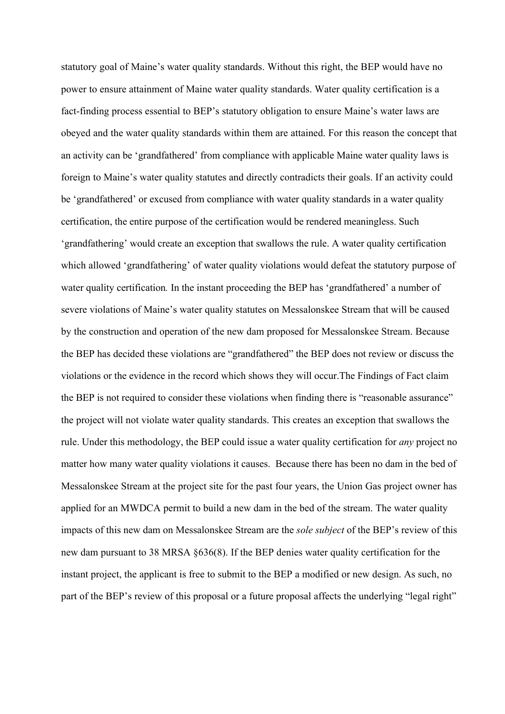statutory goal of Maine's water quality standards. Without this right, the BEP would have no power to ensure attainment of Maine water quality standards. Water quality certification is a fact-finding process essential to BEP's statutory obligation to ensure Maine's water laws are obeyed and the water quality standards within them are attained. For this reason the concept that an activity can be 'grandfathered' from compliance with applicable Maine water quality laws is foreign to Maine's water quality statutes and directly contradicts their goals. If an activity could be 'grandfathered' or excused from compliance with water quality standards in a water quality certification, the entire purpose of the certification would be rendered meaningless. Such 'grandfathering' would create an exception that swallows the rule. A water quality certification which allowed 'grandfathering' of water quality violations would defeat the statutory purpose of water quality certification*.* In the instant proceeding the BEP has 'grandfathered' a number of severe violations of Maine's water quality statutes on Messalonskee Stream that will be caused by the construction and operation of the new dam proposed for Messalonskee Stream. Because the BEP has decided these violations are "grandfathered" the BEP does not review or discuss the violations or the evidence in the record which shows they will occur.The Findings of Fact claim the BEP is not required to consider these violations when finding there is "reasonable assurance" the project will not violate water quality standards. This creates an exception that swallows the rule. Under this methodology, the BEP could issue a water quality certification for *any* project no matter how many water quality violations it causes. Because there has been no dam in the bed of Messalonskee Stream at the project site for the past four years, the Union Gas project owner has applied for an MWDCA permit to build a new dam in the bed of the stream. The water quality impacts of this new dam on Messalonskee Stream are the *sole subject* of the BEP's review of this new dam pursuant to 38 MRSA §636(8). If the BEP denies water quality certification for the instant project, the applicant is free to submit to the BEP a modified or new design. As such, no part of the BEP's review of this proposal or a future proposal affects the underlying "legal right"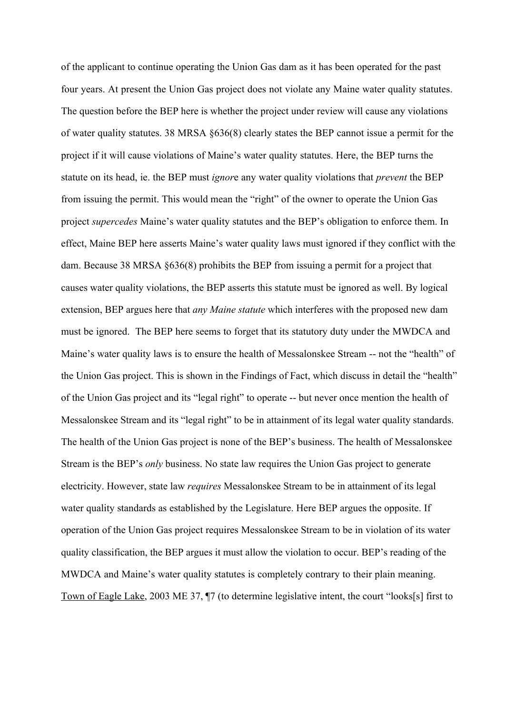of the applicant to continue operating the Union Gas dam as it has been operated for the past four years. At present the Union Gas project does not violate any Maine water quality statutes. The question before the BEP here is whether the project under review will cause any violations of water quality statutes. 38 MRSA §636(8) clearly states the BEP cannot issue a permit for the project if it will cause violations of Maine's water quality statutes. Here, the BEP turns the statute on its head, ie. the BEP must *ignor*e any water quality violations that *prevent* the BEP from issuing the permit. This would mean the "right" of the owner to operate the Union Gas project *supercedes* Maine's water quality statutes and the BEP's obligation to enforce them. In effect, Maine BEP here asserts Maine's water quality laws must ignored if they conflict with the dam. Because 38 MRSA §636(8) prohibits the BEP from issuing a permit for a project that causes water quality violations, the BEP asserts this statute must be ignored as well. By logical extension, BEP argues here that *any Maine statute* which interferes with the proposed new dam must be ignored. The BEP here seems to forget that its statutory duty under the MWDCA and Maine's water quality laws is to ensure the health of Messalonskee Stream -- not the "health" of the Union Gas project. This is shown in the Findings of Fact, which discuss in detail the "health" of the Union Gas project and its "legal right" to operate -- but never once mention the health of Messalonskee Stream and its "legal right" to be in attainment of its legal water quality standards. The health of the Union Gas project is none of the BEP's business. The health of Messalonskee Stream is the BEP's *only* business. No state law requires the Union Gas project to generate electricity. However, state law *requires* Messalonskee Stream to be in attainment of its legal water quality standards as established by the Legislature. Here BEP argues the opposite. If operation of the Union Gas project requires Messalonskee Stream to be in violation of its water quality classification, the BEP argues it must allow the violation to occur. BEP's reading of the MWDCA and Maine's water quality statutes is completely contrary to their plain meaning. Town of Eagle Lake, 2003 ME 37, ¶7 (to determine legislative intent, the court "looks[s] first to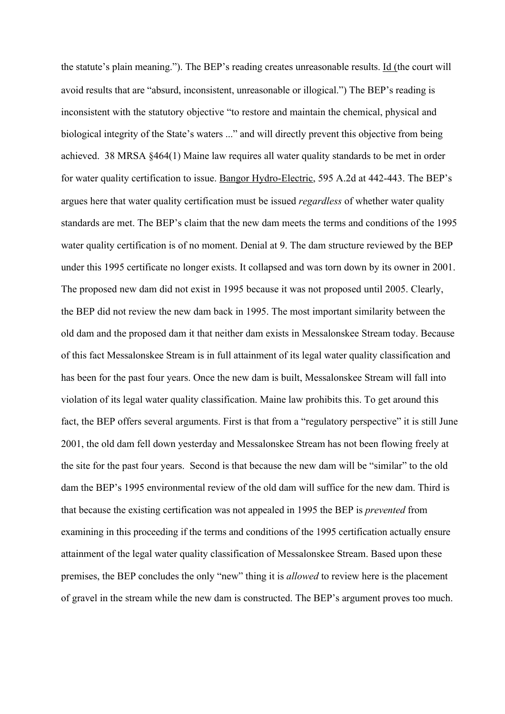the statute's plain meaning."). The BEP's reading creates unreasonable results. Id (the court will avoid results that are "absurd, inconsistent, unreasonable or illogical.") The BEP's reading is inconsistent with the statutory objective "to restore and maintain the chemical, physical and biological integrity of the State's waters ..." and will directly prevent this objective from being achieved. 38 MRSA §464(1) Maine law requires all water quality standards to be met in order for water quality certification to issue. Bangor Hydro-Electric, 595 A.2d at 442-443. The BEP's argues here that water quality certification must be issued *regardless* of whether water quality standards are met. The BEP's claim that the new dam meets the terms and conditions of the 1995 water quality certification is of no moment. Denial at 9. The dam structure reviewed by the BEP under this 1995 certificate no longer exists. It collapsed and was torn down by its owner in 2001. The proposed new dam did not exist in 1995 because it was not proposed until 2005. Clearly, the BEP did not review the new dam back in 1995. The most important similarity between the old dam and the proposed dam it that neither dam exists in Messalonskee Stream today. Because of this fact Messalonskee Stream is in full attainment of its legal water quality classification and has been for the past four years. Once the new dam is built, Messalonskee Stream will fall into violation of its legal water quality classification. Maine law prohibits this. To get around this fact, the BEP offers several arguments. First is that from a "regulatory perspective" it is still June 2001, the old dam fell down yesterday and Messalonskee Stream has not been flowing freely at the site for the past four years. Second is that because the new dam will be "similar" to the old dam the BEP's 1995 environmental review of the old dam will suffice for the new dam. Third is that because the existing certification was not appealed in 1995 the BEP is *prevented* from examining in this proceeding if the terms and conditions of the 1995 certification actually ensure attainment of the legal water quality classification of Messalonskee Stream. Based upon these premises, the BEP concludes the only "new" thing it is *allowed* to review here is the placement of gravel in the stream while the new dam is constructed. The BEP's argument proves too much.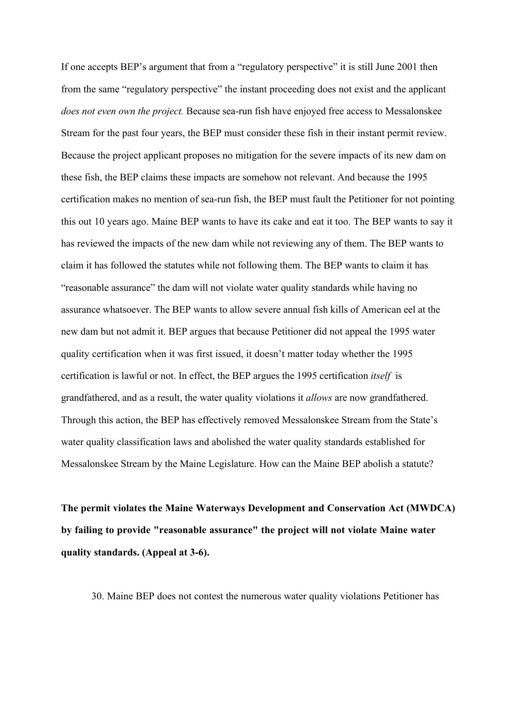If one accepts BEP's argument that from a "regulatory perspective" it is still June 2001 then from the same "regulatory perspective" the instant proceeding does not exist and the applicant *does not even own the project.* Because sea-run fish have enjoyed free access to Messalonskee Stream for the past four years, the BEP must consider these fish in their instant permit review. Because the project applicant proposes no mitigation for the severe impacts of its new dam on these fish, the BEP claims these impacts are somehow not relevant. And because the 1995 certification makes no mention of sea-run fish, the BEP must fault the Petitioner for not pointing this out 10 years ago. Maine BEP wants to have its cake and eat it too. The BEP wants to say it has reviewed the impacts of the new dam while not reviewing any of them. The BEP wants to claim it has followed the statutes while not following them. The BEP wants to claim it has "reasonable assurance" the dam will not violate water quality standards while having no assurance whatsoever. The BEP wants to allow severe annual fish kills of American eel at the new dam but not admit it. BEP argues that because Petitioner did not appeal the 1995 water quality certification when it was first issued, it doesn't matter today whether the 1995 certification is lawful or not. In effect, the BEP argues the 1995 certification *itself* is grandfathered, and as a result, the water quality violations it *allows* are now grandfathered. Through this action, the BEP has effectively removed Messalonskee Stream from the State's water quality classification laws and abolished the water quality standards established for Messalonskee Stream by the Maine Legislature. How can the Maine BEP abolish a statute?

**The permit violates the Maine Waterways Development and Conservation Act (MWDCA) by failing to provide "reasonable assurance" the project will not violate Maine water quality standards. (Appeal at 3-6).**

30. Maine BEP does not contest the numerous water quality violations Petitioner has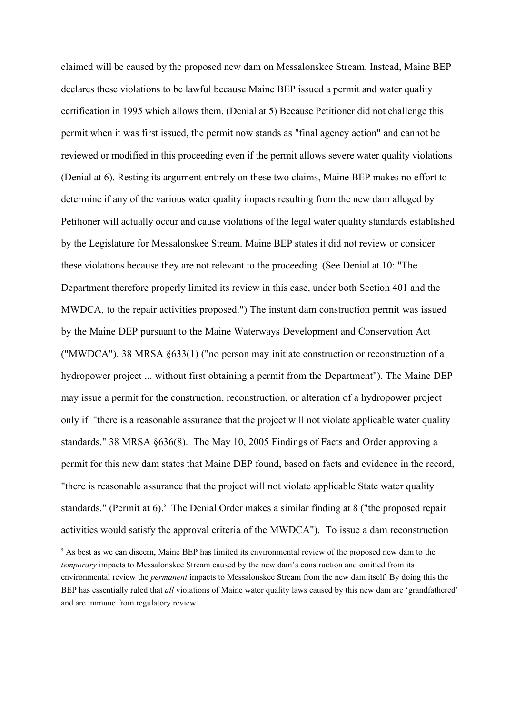claimed will be caused by the proposed new dam on Messalonskee Stream. Instead, Maine BEP declares these violations to be lawful because Maine BEP issued a permit and water quality certification in 1995 which allows them. (Denial at 5) Because Petitioner did not challenge this permit when it was first issued, the permit now stands as "final agency action" and cannot be reviewed or modified in this proceeding even if the permit allows severe water quality violations (Denial at 6). Resting its argument entirely on these two claims, Maine BEP makes no effort to determine if any of the various water quality impacts resulting from the new dam alleged by Petitioner will actually occur and cause violations of the legal water quality standards established by the Legislature for Messalonskee Stream. Maine BEP states it did not review or consider these violations because they are not relevant to the proceeding. (See Denial at 10: "The Department therefore properly limited its review in this case, under both Section 401 and the MWDCA, to the repair activities proposed.") The instant dam construction permit was issued by the Maine DEP pursuant to the Maine Waterways Development and Conservation Act ("MWDCA"). 38 MRSA §633(1) ("no person may initiate construction or reconstruction of a hydropower project ... without first obtaining a permit from the Department"). The Maine DEP may issue a permit for the construction, reconstruction, or alteration of a hydropower project only if "there is a reasonable assurance that the project will not violate applicable water quality standards." 38 MRSA §636(8). The May 10, 2005 Findings of Facts and Order approving a permit for this new dam states that Maine DEP found, based on facts and evidence in the record, "there is reasonable assurance that the project will not violate applicable State water quality standards." (Permit at 6).<sup>5</sup> The Denial Order makes a similar finding at 8 ("the proposed repair activities would satisfy the approval criteria of the MWDCA"). To issue a dam reconstruction

<sup>&</sup>lt;sup>5</sup> As best as we can discern, Maine BEP has limited its environmental review of the proposed new dam to the *temporary* impacts to Messalonskee Stream caused by the new dam's construction and omitted from its environmental review the *permanent* impacts to Messalonskee Stream from the new dam itself. By doing this the BEP has essentially ruled that *all* violations of Maine water quality laws caused by this new dam are 'grandfathered' and are immune from regulatory review.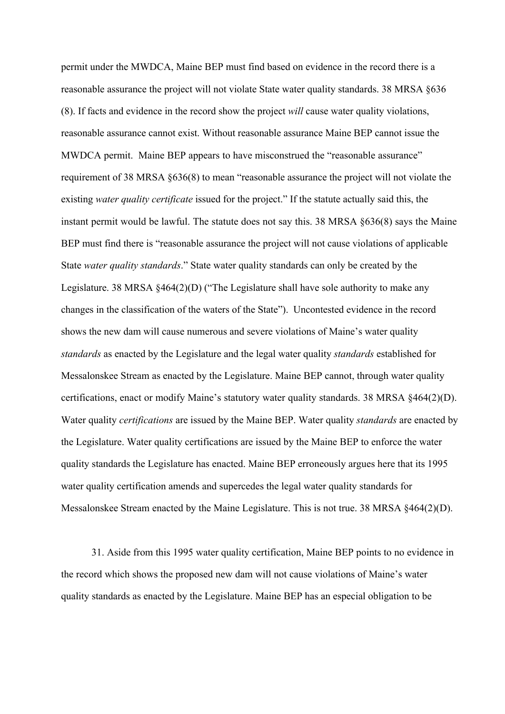permit under the MWDCA, Maine BEP must find based on evidence in the record there is a reasonable assurance the project will not violate State water quality standards. 38 MRSA §636 (8). If facts and evidence in the record show the project *will* cause water quality violations, reasonable assurance cannot exist. Without reasonable assurance Maine BEP cannot issue the MWDCA permit. Maine BEP appears to have misconstrued the "reasonable assurance" requirement of 38 MRSA §636(8) to mean "reasonable assurance the project will not violate the existing *water quality certificate* issued for the project." If the statute actually said this, the instant permit would be lawful. The statute does not say this. 38 MRSA §636(8) says the Maine BEP must find there is "reasonable assurance the project will not cause violations of applicable State *water quality standards*." State water quality standards can only be created by the Legislature. 38 MRSA  $\frac{464(2)}{D}$  ("The Legislature shall have sole authority to make any changes in the classification of the waters of the State"). Uncontested evidence in the record shows the new dam will cause numerous and severe violations of Maine's water quality *standards* as enacted by the Legislature and the legal water quality *standards* established for Messalonskee Stream as enacted by the Legislature. Maine BEP cannot, through water quality certifications, enact or modify Maine's statutory water quality standards. 38 MRSA §464(2)(D). Water quality *certifications* are issued by the Maine BEP. Water quality *standards* are enacted by the Legislature. Water quality certifications are issued by the Maine BEP to enforce the water quality standards the Legislature has enacted. Maine BEP erroneously argues here that its 1995 water quality certification amends and supercedes the legal water quality standards for Messalonskee Stream enacted by the Maine Legislature. This is not true. 38 MRSA §464(2)(D).

31. Aside from this 1995 water quality certification, Maine BEP points to no evidence in the record which shows the proposed new dam will not cause violations of Maine's water quality standards as enacted by the Legislature. Maine BEP has an especial obligation to be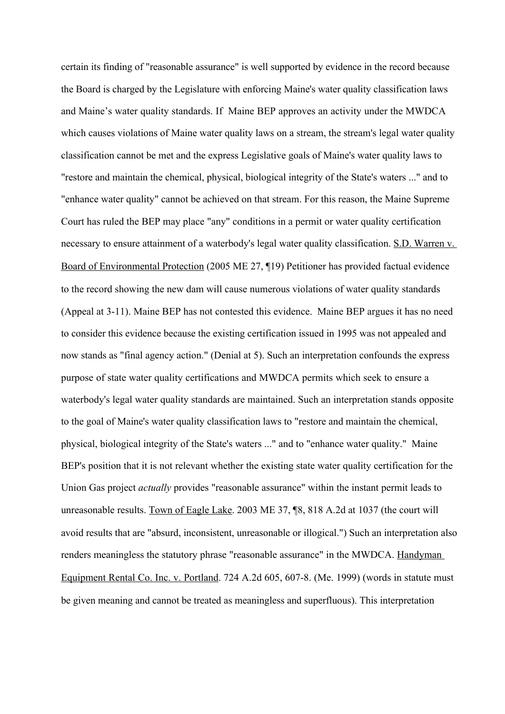certain its finding of "reasonable assurance" is well supported by evidence in the record because the Board is charged by the Legislature with enforcing Maine's water quality classification laws and Maine's water quality standards. If Maine BEP approves an activity under the MWDCA which causes violations of Maine water quality laws on a stream, the stream's legal water quality classification cannot be met and the express Legislative goals of Maine's water quality laws to "restore and maintain the chemical, physical, biological integrity of the State's waters ..." and to "enhance water quality" cannot be achieved on that stream. For this reason, the Maine Supreme Court has ruled the BEP may place "any" conditions in a permit or water quality certification necessary to ensure attainment of a waterbody's legal water quality classification. S.D. Warren v. Board of Environmental Protection (2005 ME 27, ¶19) Petitioner has provided factual evidence to the record showing the new dam will cause numerous violations of water quality standards (Appeal at 3-11). Maine BEP has not contested this evidence. Maine BEP argues it has no need to consider this evidence because the existing certification issued in 1995 was not appealed and now stands as "final agency action." (Denial at 5). Such an interpretation confounds the express purpose of state water quality certifications and MWDCA permits which seek to ensure a waterbody's legal water quality standards are maintained. Such an interpretation stands opposite to the goal of Maine's water quality classification laws to "restore and maintain the chemical, physical, biological integrity of the State's waters ..." and to "enhance water quality." Maine BEP's position that it is not relevant whether the existing state water quality certification for the Union Gas project *actually* provides "reasonable assurance" within the instant permit leads to unreasonable results. Town of Eagle Lake. 2003 ME 37, ¶8, 818 A.2d at 1037 (the court will avoid results that are "absurd, inconsistent, unreasonable or illogical.") Such an interpretation also renders meaningless the statutory phrase "reasonable assurance" in the MWDCA. Handyman Equipment Rental Co. Inc. v. Portland. 724 A.2d 605, 607-8. (Me. 1999) (words in statute must be given meaning and cannot be treated as meaningless and superfluous). This interpretation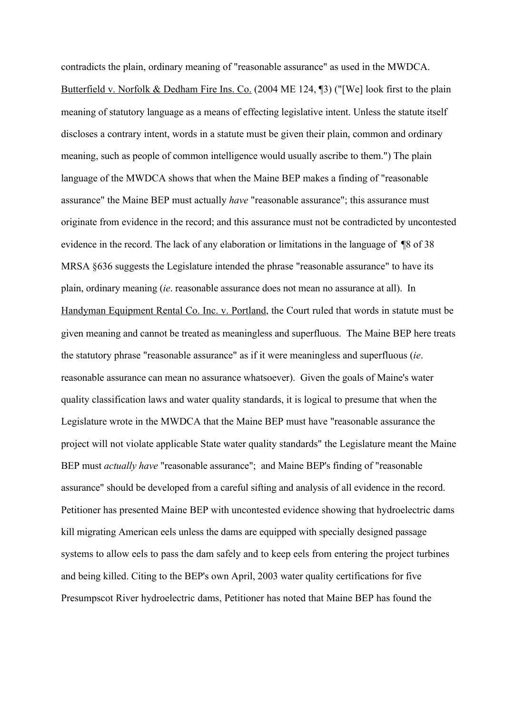contradicts the plain, ordinary meaning of "reasonable assurance" as used in the MWDCA. Butterfield v. Norfolk & Dedham Fire Ins. Co. (2004 ME 124, ¶3) ("[We] look first to the plain meaning of statutory language as a means of effecting legislative intent. Unless the statute itself discloses a contrary intent, words in a statute must be given their plain, common and ordinary meaning, such as people of common intelligence would usually ascribe to them.") The plain language of the MWDCA shows that when the Maine BEP makes a finding of "reasonable assurance" the Maine BEP must actually *have* "reasonable assurance"; this assurance must originate from evidence in the record; and this assurance must not be contradicted by uncontested evidence in the record. The lack of any elaboration or limitations in the language of ¶8 of 38 MRSA §636 suggests the Legislature intended the phrase "reasonable assurance" to have its plain, ordinary meaning (*ie*. reasonable assurance does not mean no assurance at all). In Handyman Equipment Rental Co. Inc. v. Portland, the Court ruled that words in statute must be given meaning and cannot be treated as meaningless and superfluous. The Maine BEP here treats the statutory phrase "reasonable assurance" as if it were meaningless and superfluous (*ie*. reasonable assurance can mean no assurance whatsoever). Given the goals of Maine's water quality classification laws and water quality standards, it is logical to presume that when the Legislature wrote in the MWDCA that the Maine BEP must have "reasonable assurance the project will not violate applicable State water quality standards" the Legislature meant the Maine BEP must *actually have* "reasonable assurance"; and Maine BEP's finding of "reasonable assurance" should be developed from a careful sifting and analysis of all evidence in the record. Petitioner has presented Maine BEP with uncontested evidence showing that hydroelectric dams kill migrating American eels unless the dams are equipped with specially designed passage systems to allow eels to pass the dam safely and to keep eels from entering the project turbines and being killed. Citing to the BEP's own April, 2003 water quality certifications for five Presumpscot River hydroelectric dams, Petitioner has noted that Maine BEP has found the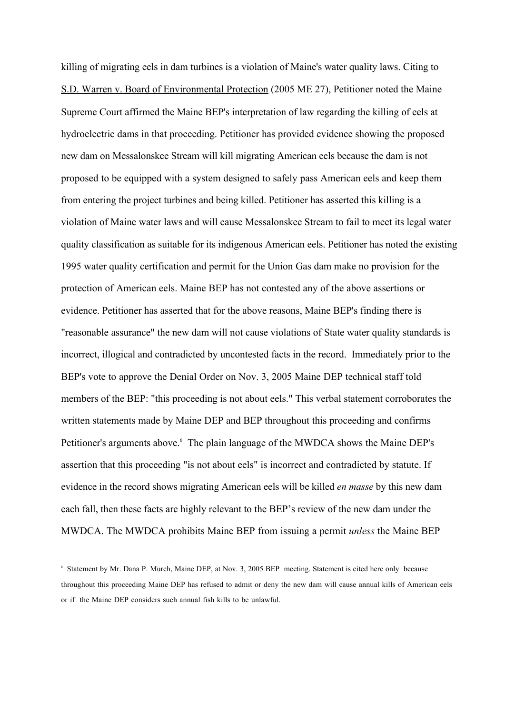killing of migrating eels in dam turbines is a violation of Maine's water quality laws. Citing to S.D. Warren v. Board of Environmental Protection (2005 ME 27), Petitioner noted the Maine Supreme Court affirmed the Maine BEP's interpretation of law regarding the killing of eels at hydroelectric dams in that proceeding. Petitioner has provided evidence showing the proposed new dam on Messalonskee Stream will kill migrating American eels because the dam is not proposed to be equipped with a system designed to safely pass American eels and keep them from entering the project turbines and being killed. Petitioner has asserted this killing is a violation of Maine water laws and will cause Messalonskee Stream to fail to meet its legal water quality classification as suitable for its indigenous American eels. Petitioner has noted the existing 1995 water quality certification and permit for the Union Gas dam make no provision for the protection of American eels. Maine BEP has not contested any of the above assertions or evidence. Petitioner has asserted that for the above reasons, Maine BEP's finding there is "reasonable assurance" the new dam will not cause violations of State water quality standards is incorrect, illogical and contradicted by uncontested facts in the record. Immediately prior to the BEP's vote to approve the Denial Order on Nov. 3, 2005 Maine DEP technical staff told members of the BEP: "this proceeding is not about eels." This verbal statement corroborates the written statements made by Maine DEP and BEP throughout this proceeding and confirms Petitioner's arguments above. <sup>6</sup> The plain language of the MWDCA shows the Maine DEP's assertion that this proceeding "is not about eels" is incorrect and contradicted by statute. If evidence in the record shows migrating American eels will be killed *en masse* by this new dam each fall, then these facts are highly relevant to the BEP's review of the new dam under the MWDCA. The MWDCA prohibits Maine BEP from issuing a permit *unless* the Maine BEP

<sup>6</sup> Statement by Mr. Dana P. Murch, Maine DEP, at Nov. 3, 2005 BEP meeting. Statement is cited here only because throughout this proceeding Maine DEP has refused to admit or deny the new dam will cause annual kills of American eels or if the Maine DEP considers such annual fish kills to be unlawful.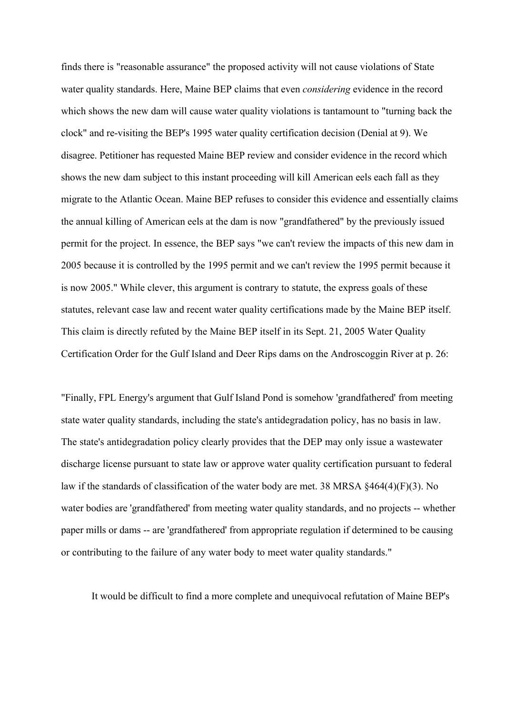finds there is "reasonable assurance" the proposed activity will not cause violations of State water quality standards. Here, Maine BEP claims that even *considering* evidence in the record which shows the new dam will cause water quality violations is tantamount to "turning back the clock" and re-visiting the BEP's 1995 water quality certification decision (Denial at 9). We disagree. Petitioner has requested Maine BEP review and consider evidence in the record which shows the new dam subject to this instant proceeding will kill American eels each fall as they migrate to the Atlantic Ocean. Maine BEP refuses to consider this evidence and essentially claims the annual killing of American eels at the dam is now "grandfathered" by the previously issued permit for the project. In essence, the BEP says "we can't review the impacts of this new dam in 2005 because it is controlled by the 1995 permit and we can't review the 1995 permit because it is now 2005." While clever, this argument is contrary to statute, the express goals of these statutes, relevant case law and recent water quality certifications made by the Maine BEP itself. This claim is directly refuted by the Maine BEP itself in its Sept. 21, 2005 Water Quality Certification Order for the Gulf Island and Deer Rips dams on the Androscoggin River at p. 26:

"Finally, FPL Energy's argument that Gulf Island Pond is somehow 'grandfathered' from meeting state water quality standards, including the state's antidegradation policy, has no basis in law. The state's antidegradation policy clearly provides that the DEP may only issue a wastewater discharge license pursuant to state law or approve water quality certification pursuant to federal law if the standards of classification of the water body are met. 38 MRSA §464(4)(F)(3). No water bodies are 'grandfathered' from meeting water quality standards, and no projects -- whether paper mills or dams -- are 'grandfathered' from appropriate regulation if determined to be causing or contributing to the failure of any water body to meet water quality standards."

It would be difficult to find a more complete and unequivocal refutation of Maine BEP's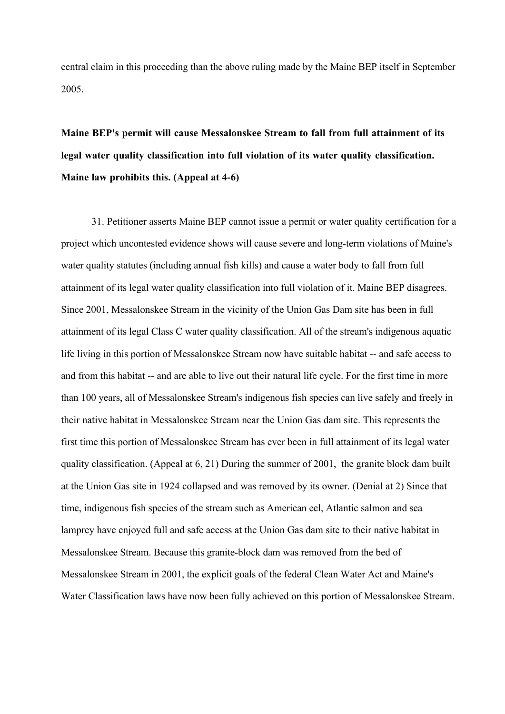central claim in this proceeding than the above ruling made by the Maine BEP itself in September 2005.

**Maine BEP's permit will cause Messalonskee Stream to fall from full attainment of its legal water quality classification into full violation of its water quality classification. Maine law prohibits this. (Appeal at 4-6)**

31. Petitioner asserts Maine BEP cannot issue a permit or water quality certification for a project which uncontested evidence shows will cause severe and long-term violations of Maine's water quality statutes (including annual fish kills) and cause a water body to fall from full attainment of its legal water quality classification into full violation of it. Maine BEP disagrees. Since 2001, Messalonskee Stream in the vicinity of the Union Gas Dam site has been in full attainment of its legal Class C water quality classification. All of the stream's indigenous aquatic life living in this portion of Messalonskee Stream now have suitable habitat -- and safe access to and from this habitat -- and are able to live out their natural life cycle. For the first time in more than 100 years, all of Messalonskee Stream's indigenous fish species can live safely and freely in their native habitat in Messalonskee Stream near the Union Gas dam site. This represents the first time this portion of Messalonskee Stream has ever been in full attainment of its legal water quality classification. (Appeal at 6, 21) During the summer of 2001, the granite block dam built at the Union Gas site in 1924 collapsed and was removed by its owner. (Denial at 2) Since that time, indigenous fish species of the stream such as American eel, Atlantic salmon and sea lamprey have enjoyed full and safe access at the Union Gas dam site to their native habitat in Messalonskee Stream. Because this granite-block dam was removed from the bed of Messalonskee Stream in 2001, the explicit goals of the federal Clean Water Act and Maine's Water Classification laws have now been fully achieved on this portion of Messalonskee Stream.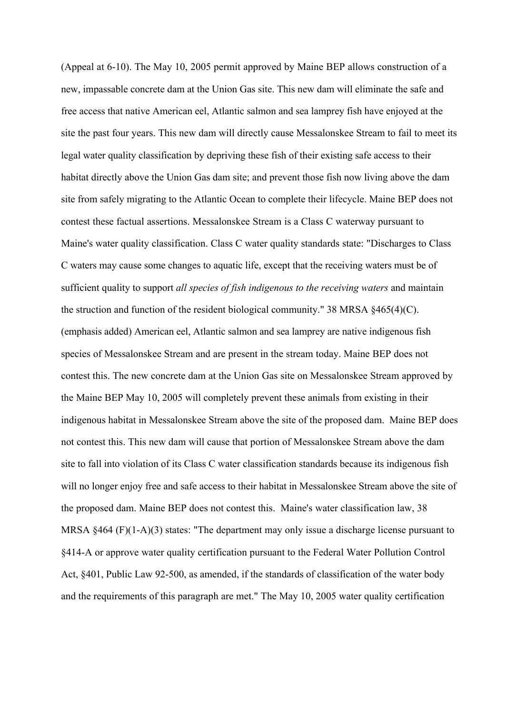(Appeal at 6-10). The May 10, 2005 permit approved by Maine BEP allows construction of a new, impassable concrete dam at the Union Gas site. This new dam will eliminate the safe and free access that native American eel, Atlantic salmon and sea lamprey fish have enjoyed at the site the past four years. This new dam will directly cause Messalonskee Stream to fail to meet its legal water quality classification by depriving these fish of their existing safe access to their habitat directly above the Union Gas dam site; and prevent those fish now living above the dam site from safely migrating to the Atlantic Ocean to complete their lifecycle. Maine BEP does not contest these factual assertions. Messalonskee Stream is a Class C waterway pursuant to Maine's water quality classification. Class C water quality standards state: "Discharges to Class C waters may cause some changes to aquatic life, except that the receiving waters must be of sufficient quality to support *all species of fish indigenous to the receiving waters* and maintain the struction and function of the resident biological community." 38 MRSA §465(4)(C). (emphasis added) American eel, Atlantic salmon and sea lamprey are native indigenous fish species of Messalonskee Stream and are present in the stream today. Maine BEP does not contest this. The new concrete dam at the Union Gas site on Messalonskee Stream approved by the Maine BEP May 10, 2005 will completely prevent these animals from existing in their indigenous habitat in Messalonskee Stream above the site of the proposed dam. Maine BEP does not contest this. This new dam will cause that portion of Messalonskee Stream above the dam site to fall into violation of its Class C water classification standards because its indigenous fish will no longer enjoy free and safe access to their habitat in Messalonskee Stream above the site of the proposed dam. Maine BEP does not contest this. Maine's water classification law, 38 MRSA §464 (F)(1-A)(3) states: "The department may only issue a discharge license pursuant to §414-A or approve water quality certification pursuant to the Federal Water Pollution Control Act, §401, Public Law 92-500, as amended, if the standards of classification of the water body and the requirements of this paragraph are met." The May 10, 2005 water quality certification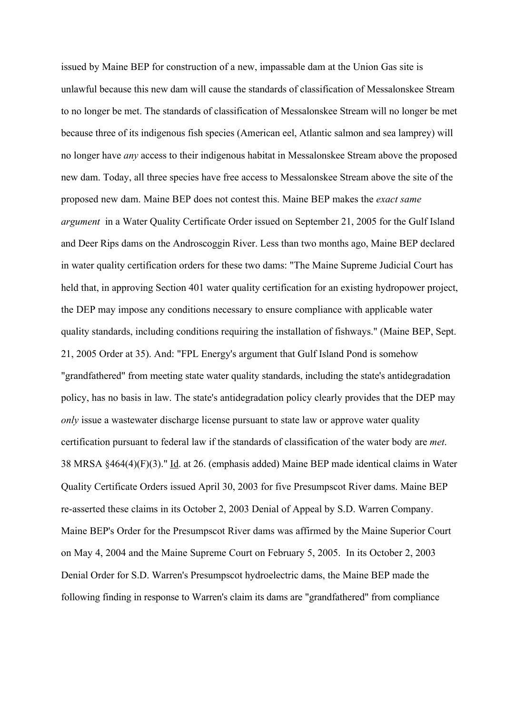issued by Maine BEP for construction of a new, impassable dam at the Union Gas site is unlawful because this new dam will cause the standards of classification of Messalonskee Stream to no longer be met. The standards of classification of Messalonskee Stream will no longer be met because three of its indigenous fish species (American eel, Atlantic salmon and sea lamprey) will no longer have *any* access to their indigenous habitat in Messalonskee Stream above the proposed new dam. Today, all three species have free access to Messalonskee Stream above the site of the proposed new dam. Maine BEP does not contest this. Maine BEP makes the *exact same argument* in a Water Quality Certificate Order issued on September 21, 2005 for the Gulf Island and Deer Rips dams on the Androscoggin River. Less than two months ago, Maine BEP declared in water quality certification orders for these two dams: "The Maine Supreme Judicial Court has held that, in approving Section 401 water quality certification for an existing hydropower project, the DEP may impose any conditions necessary to ensure compliance with applicable water quality standards, including conditions requiring the installation of fishways." (Maine BEP, Sept. 21, 2005 Order at 35). And: "FPL Energy's argument that Gulf Island Pond is somehow "grandfathered" from meeting state water quality standards, including the state's antidegradation policy, has no basis in law. The state's antidegradation policy clearly provides that the DEP may *only* issue a wastewater discharge license pursuant to state law or approve water quality certification pursuant to federal law if the standards of classification of the water body are *met*. 38 MRSA  $§464(4)(F)(3)$ ." Id. at 26. (emphasis added) Maine BEP made identical claims in Water Quality Certificate Orders issued April 30, 2003 for five Presumpscot River dams. Maine BEP re-asserted these claims in its October 2, 2003 Denial of Appeal by S.D. Warren Company. Maine BEP's Order for the Presumpscot River dams was affirmed by the Maine Superior Court on May 4, 2004 and the Maine Supreme Court on February 5, 2005. In its October 2, 2003 Denial Order for S.D. Warren's Presumpscot hydroelectric dams, the Maine BEP made the following finding in response to Warren's claim its dams are "grandfathered" from compliance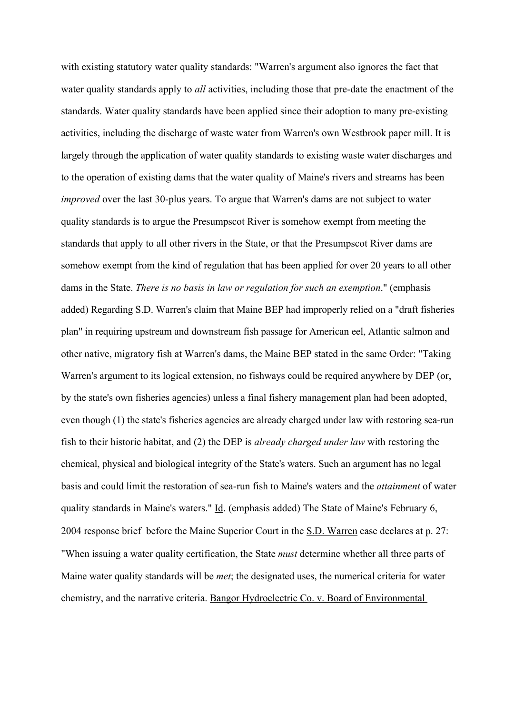with existing statutory water quality standards: "Warren's argument also ignores the fact that water quality standards apply to *all* activities, including those that pre-date the enactment of the standards. Water quality standards have been applied since their adoption to many pre-existing activities, including the discharge of waste water from Warren's own Westbrook paper mill. It is largely through the application of water quality standards to existing waste water discharges and to the operation of existing dams that the water quality of Maine's rivers and streams has been *improved* over the last 30-plus years. To argue that Warren's dams are not subject to water quality standards is to argue the Presumpscot River is somehow exempt from meeting the standards that apply to all other rivers in the State, or that the Presumpscot River dams are somehow exempt from the kind of regulation that has been applied for over 20 years to all other dams in the State. *There is no basis in law or regulation for such an exemption*." (emphasis added) Regarding S.D. Warren's claim that Maine BEP had improperly relied on a "draft fisheries plan" in requiring upstream and downstream fish passage for American eel, Atlantic salmon and other native, migratory fish at Warren's dams, the Maine BEP stated in the same Order: "Taking Warren's argument to its logical extension, no fishways could be required anywhere by DEP (or, by the state's own fisheries agencies) unless a final fishery management plan had been adopted, even though (1) the state's fisheries agencies are already charged under law with restoring sea-run fish to their historic habitat, and (2) the DEP is *already charged under law* with restoring the chemical, physical and biological integrity of the State's waters. Such an argument has no legal basis and could limit the restoration of sea-run fish to Maine's waters and the *attainment* of water quality standards in Maine's waters." Id. (emphasis added) The State of Maine's February 6, 2004 response brief before the Maine Superior Court in the S.D. Warren case declares at p. 27: "When issuing a water quality certification, the State *must* determine whether all three parts of Maine water quality standards will be *met*; the designated uses, the numerical criteria for water chemistry, and the narrative criteria. Bangor Hydroelectric Co. v. Board of Environmental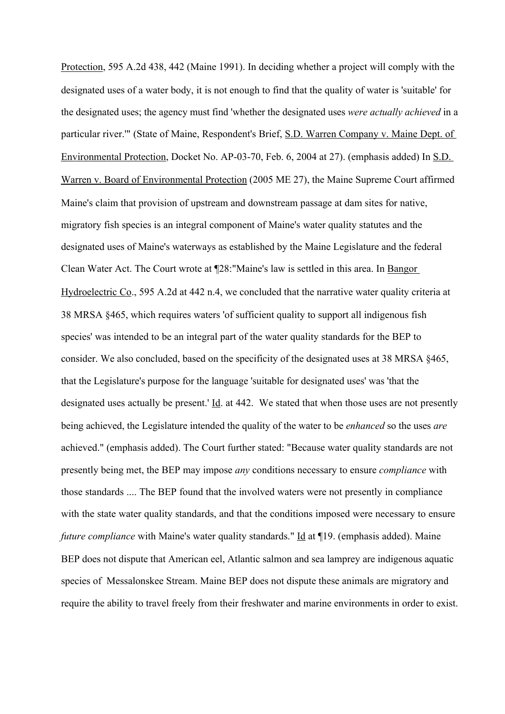Protection, 595 A.2d 438, 442 (Maine 1991). In deciding whether a project will comply with the designated uses of a water body, it is not enough to find that the quality of water is 'suitable' for the designated uses; the agency must find 'whether the designated uses *were actually achieved* in a particular river.'" (State of Maine, Respondent's Brief, S.D. Warren Company v. Maine Dept. of Environmental Protection, Docket No. AP-03-70, Feb. 6, 2004 at 27). (emphasis added) In S.D. Warren v. Board of Environmental Protection (2005 ME 27), the Maine Supreme Court affirmed Maine's claim that provision of upstream and downstream passage at dam sites for native, migratory fish species is an integral component of Maine's water quality statutes and the designated uses of Maine's waterways as established by the Maine Legislature and the federal Clean Water Act. The Court wrote at ¶28:"Maine's law is settled in this area. In Bangor Hydroelectric Co., 595 A.2d at 442 n.4, we concluded that the narrative water quality criteria at 38 MRSA §465, which requires waters 'of sufficient quality to support all indigenous fish species' was intended to be an integral part of the water quality standards for the BEP to consider. We also concluded, based on the specificity of the designated uses at 38 MRSA §465, that the Legislature's purpose for the language 'suitable for designated uses' was 'that the designated uses actually be present.'  $\underline{Id}$ . at 442. We stated that when those uses are not presently being achieved, the Legislature intended the quality of the water to be *enhanced* so the uses *are* achieved." (emphasis added). The Court further stated: "Because water quality standards are not presently being met, the BEP may impose *any* conditions necessary to ensure *compliance* with those standards .... The BEP found that the involved waters were not presently in compliance with the state water quality standards, and that the conditions imposed were necessary to ensure *future compliance* with Maine's water quality standards." Id at ¶19. (emphasis added). Maine BEP does not dispute that American eel, Atlantic salmon and sea lamprey are indigenous aquatic species of Messalonskee Stream. Maine BEP does not dispute these animals are migratory and require the ability to travel freely from their freshwater and marine environments in order to exist.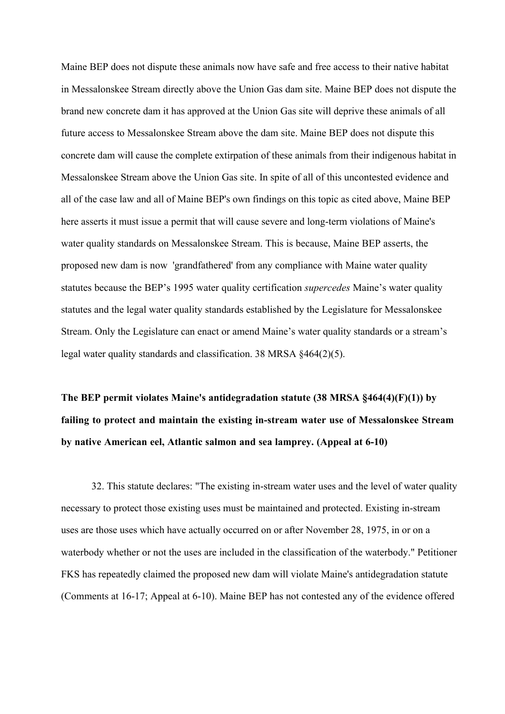Maine BEP does not dispute these animals now have safe and free access to their native habitat in Messalonskee Stream directly above the Union Gas dam site. Maine BEP does not dispute the brand new concrete dam it has approved at the Union Gas site will deprive these animals of all future access to Messalonskee Stream above the dam site. Maine BEP does not dispute this concrete dam will cause the complete extirpation of these animals from their indigenous habitat in Messalonskee Stream above the Union Gas site. In spite of all of this uncontested evidence and all of the case law and all of Maine BEP's own findings on this topic as cited above, Maine BEP here asserts it must issue a permit that will cause severe and long-term violations of Maine's water quality standards on Messalonskee Stream. This is because, Maine BEP asserts, the proposed new dam is now 'grandfathered' from any compliance with Maine water quality statutes because the BEP's 1995 water quality certification *supercedes* Maine's water quality statutes and the legal water quality standards established by the Legislature for Messalonskee Stream. Only the Legislature can enact or amend Maine's water quality standards or a stream's legal water quality standards and classification. 38 MRSA §464(2)(5).

**The BEP permit violates Maine's antidegradation statute (38 MRSA §464(4)(F)(1)) by failing to protect and maintain the existing in-stream water use of Messalonskee Stream by native American eel, Atlantic salmon and sea lamprey. (Appeal at 6-10)**

32. This statute declares: "The existing in-stream water uses and the level of water quality necessary to protect those existing uses must be maintained and protected. Existing in-stream uses are those uses which have actually occurred on or after November 28, 1975, in or on a waterbody whether or not the uses are included in the classification of the waterbody." Petitioner FKS has repeatedly claimed the proposed new dam will violate Maine's antidegradation statute (Comments at 16-17; Appeal at 6-10). Maine BEP has not contested any of the evidence offered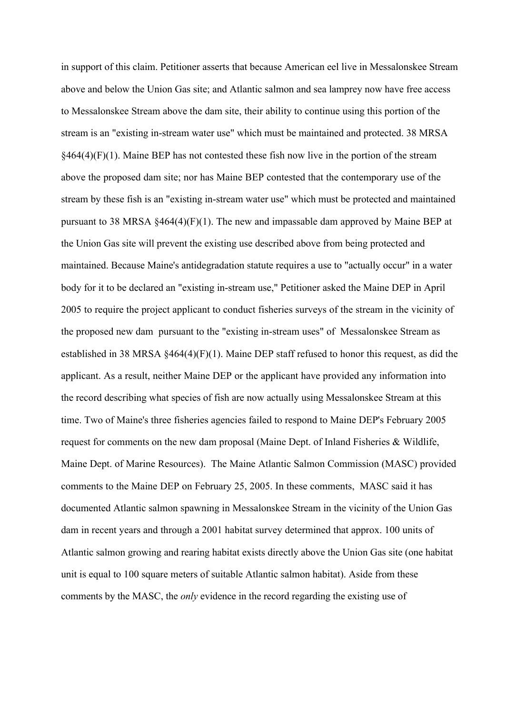in support of this claim. Petitioner asserts that because American eel live in Messalonskee Stream above and below the Union Gas site; and Atlantic salmon and sea lamprey now have free access to Messalonskee Stream above the dam site, their ability to continue using this portion of the stream is an "existing in-stream water use" which must be maintained and protected. 38 MRSA  $§464(4)(F)(1)$ . Maine BEP has not contested these fish now live in the portion of the stream above the proposed dam site; nor has Maine BEP contested that the contemporary use of the stream by these fish is an "existing in-stream water use" which must be protected and maintained pursuant to 38 MRSA §464(4)(F)(1). The new and impassable dam approved by Maine BEP at the Union Gas site will prevent the existing use described above from being protected and maintained. Because Maine's antidegradation statute requires a use to "actually occur" in a water body for it to be declared an "existing in-stream use," Petitioner asked the Maine DEP in April 2005 to require the project applicant to conduct fisheries surveys of the stream in the vicinity of the proposed new dam pursuant to the "existing in-stream uses" of Messalonskee Stream as established in 38 MRSA  $\frac{464(4)}{F}(1)$ . Maine DEP staff refused to honor this request, as did the applicant. As a result, neither Maine DEP or the applicant have provided any information into the record describing what species of fish are now actually using Messalonskee Stream at this time. Two of Maine's three fisheries agencies failed to respond to Maine DEP's February 2005 request for comments on the new dam proposal (Maine Dept. of Inland Fisheries & Wildlife, Maine Dept. of Marine Resources). The Maine Atlantic Salmon Commission (MASC) provided comments to the Maine DEP on February 25, 2005. In these comments, MASC said it has documented Atlantic salmon spawning in Messalonskee Stream in the vicinity of the Union Gas dam in recent years and through a 2001 habitat survey determined that approx. 100 units of Atlantic salmon growing and rearing habitat exists directly above the Union Gas site (one habitat unit is equal to 100 square meters of suitable Atlantic salmon habitat). Aside from these comments by the MASC, the *only* evidence in the record regarding the existing use of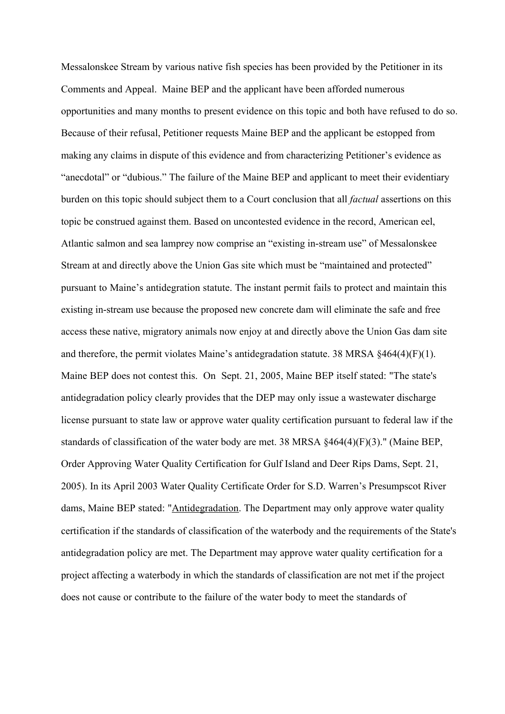Messalonskee Stream by various native fish species has been provided by the Petitioner in its Comments and Appeal. Maine BEP and the applicant have been afforded numerous opportunities and many months to present evidence on this topic and both have refused to do so. Because of their refusal, Petitioner requests Maine BEP and the applicant be estopped from making any claims in dispute of this evidence and from characterizing Petitioner's evidence as "anecdotal" or "dubious." The failure of the Maine BEP and applicant to meet their evidentiary burden on this topic should subject them to a Court conclusion that all *factual* assertions on this topic be construed against them. Based on uncontested evidence in the record, American eel, Atlantic salmon and sea lamprey now comprise an "existing in-stream use" of Messalonskee Stream at and directly above the Union Gas site which must be "maintained and protected" pursuant to Maine's antidegration statute. The instant permit fails to protect and maintain this existing in-stream use because the proposed new concrete dam will eliminate the safe and free access these native, migratory animals now enjoy at and directly above the Union Gas dam site and therefore, the permit violates Maine's antidegradation statute. 38 MRSA §464(4)(F)(1). Maine BEP does not contest this. On Sept. 21, 2005, Maine BEP itself stated: "The state's antidegradation policy clearly provides that the DEP may only issue a wastewater discharge license pursuant to state law or approve water quality certification pursuant to federal law if the standards of classification of the water body are met. 38 MRSA §464(4)(F)(3)." (Maine BEP, Order Approving Water Quality Certification for Gulf Island and Deer Rips Dams, Sept. 21, 2005). In its April 2003 Water Quality Certificate Order for S.D. Warren's Presumpscot River dams, Maine BEP stated: "Antidegradation. The Department may only approve water quality certification if the standards of classification of the waterbody and the requirements of the State's antidegradation policy are met. The Department may approve water quality certification for a project affecting a waterbody in which the standards of classification are not met if the project does not cause or contribute to the failure of the water body to meet the standards of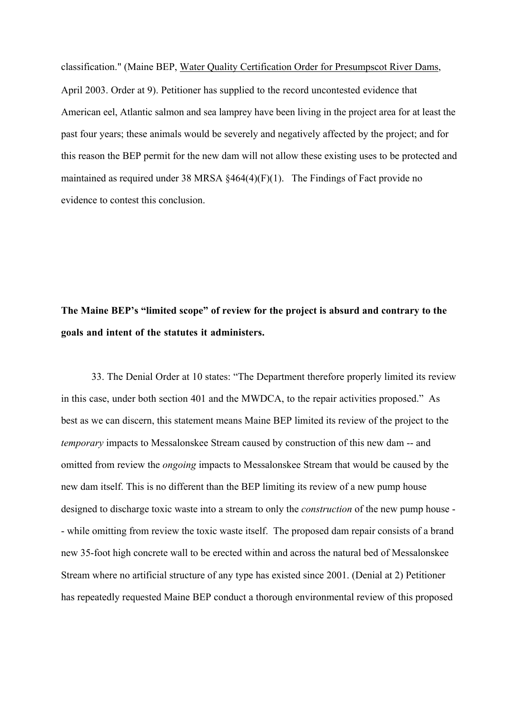classification." (Maine BEP, Water Quality Certification Order for Presumpscot River Dams, April 2003. Order at 9). Petitioner has supplied to the record uncontested evidence that American eel, Atlantic salmon and sea lamprey have been living in the project area for at least the past four years; these animals would be severely and negatively affected by the project; and for this reason the BEP permit for the new dam will not allow these existing uses to be protected and maintained as required under 38 MRSA §464(4)(F)(1). The Findings of Fact provide no evidence to contest this conclusion.

# **The Maine BEP's "limited scope" of review for the project is absurd and contrary to the goals and intent of the statutes it administers.**

33. The Denial Order at 10 states: "The Department therefore properly limited its review in this case, under both section 401 and the MWDCA, to the repair activities proposed."As best as we can discern, this statement means Maine BEP limited its review of the project to the *temporary* impacts to Messalonskee Stream caused by construction of this new dam -- and omitted from review the *ongoing* impacts to Messalonskee Stream that would be caused by the new dam itself. This is no different than the BEP limiting its review of a new pump house designed to discharge toxic waste into a stream to only the *construction* of the new pump house - - while omitting from review the toxic waste itself. The proposed dam repair consists of a brand new 35-foot high concrete wall to be erected within and across the natural bed of Messalonskee Stream where no artificial structure of any type has existed since 2001. (Denial at 2) Petitioner has repeatedly requested Maine BEP conduct a thorough environmental review of this proposed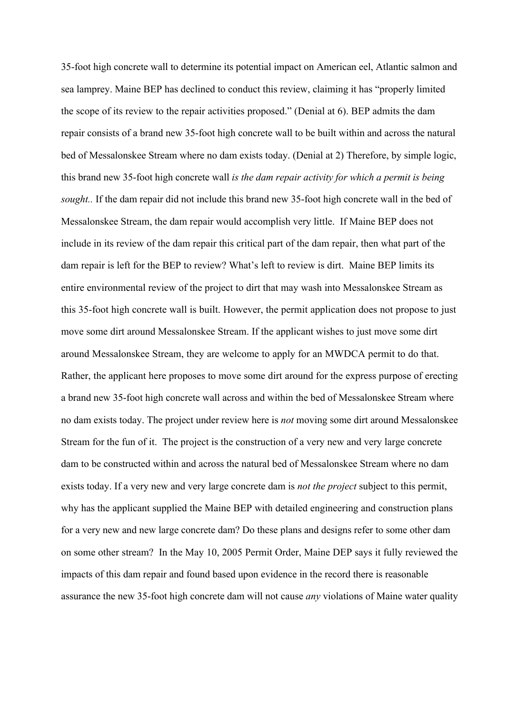35-foot high concrete wall to determine its potential impact on American eel, Atlantic salmon and sea lamprey. Maine BEP has declined to conduct this review, claiming it has "properly limited the scope of its review to the repair activities proposed." (Denial at 6). BEP admits the dam repair consists of a brand new 35-foot high concrete wall to be built within and across the natural bed of Messalonskee Stream where no dam exists today. (Denial at 2) Therefore, by simple logic, this brand new 35-foot high concrete wall *is the dam repair activity for which a permit is being sought..* If the dam repair did not include this brand new 35-foot high concrete wall in the bed of Messalonskee Stream, the dam repair would accomplish very little. If Maine BEP does not include in its review of the dam repair this critical part of the dam repair, then what part of the dam repair is left for the BEP to review? What's left to review is dirt. Maine BEP limits its entire environmental review of the project to dirt that may wash into Messalonskee Stream as this 35-foot high concrete wall is built. However, the permit application does not propose to just move some dirt around Messalonskee Stream. If the applicant wishes to just move some dirt around Messalonskee Stream, they are welcome to apply for an MWDCA permit to do that. Rather, the applicant here proposes to move some dirt around for the express purpose of erecting a brand new 35-foot high concrete wall across and within the bed of Messalonskee Stream where no dam exists today. The project under review here is *not* moving some dirt around Messalonskee Stream for the fun of it. The project is the construction of a very new and very large concrete dam to be constructed within and across the natural bed of Messalonskee Stream where no dam exists today. If a very new and very large concrete dam is *not the project* subject to this permit, why has the applicant supplied the Maine BEP with detailed engineering and construction plans for a very new and new large concrete dam? Do these plans and designs refer to some other dam on some other stream? In the May 10, 2005 Permit Order, Maine DEP says it fully reviewed the impacts of this dam repair and found based upon evidence in the record there is reasonable assurance the new 35-foot high concrete dam will not cause *any* violations of Maine water quality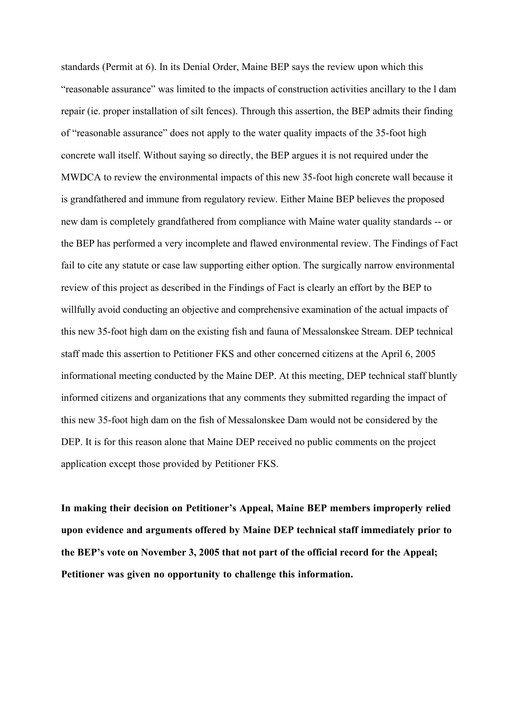standards (Permit at 6). In its Denial Order, Maine BEP says the review upon which this "reasonable assurance" was limited to the impacts of construction activities ancillary to the l dam repair (ie. proper installation of silt fences). Through this assertion, the BEP admits their finding of "reasonable assurance" does not apply to the water quality impacts of the 35-foot high concrete wall itself. Without saying so directly, the BEP argues it is not required under the MWDCA to review the environmental impacts of this new 35-foot high concrete wall because it is grandfathered and immune from regulatory review. Either Maine BEP believes the proposed new dam is completely grandfathered from compliance with Maine water quality standards -- or the BEP has performed a very incomplete and flawed environmental review. The Findings of Fact fail to cite any statute or case law supporting either option. The surgically narrow environmental review of this project as described in the Findings of Fact is clearly an effort by the BEP to willfully avoid conducting an objective and comprehensive examination of the actual impacts of this new 35-foot high dam on the existing fish and fauna of Messalonskee Stream. DEP technical staff made this assertion to Petitioner FKS and other concerned citizens at the April 6, 2005 informational meeting conducted by the Maine DEP. At this meeting, DEP technical staff bluntly informed citizens and organizations that any comments they submitted regarding the impact of this new 35-foot high dam on the fish of Messalonskee Dam would not be considered by the DEP. It is for this reason alone that Maine DEP received no public comments on the project application except those provided by Petitioner FKS.

**In making their decision on Petitioner's Appeal, Maine BEP members improperly relied upon evidence and arguments offered by Maine DEP technical staff immediately prior to the BEP's vote on November 3, 2005 that not part of the official record for the Appeal; Petitioner was given no opportunity to challenge this information.**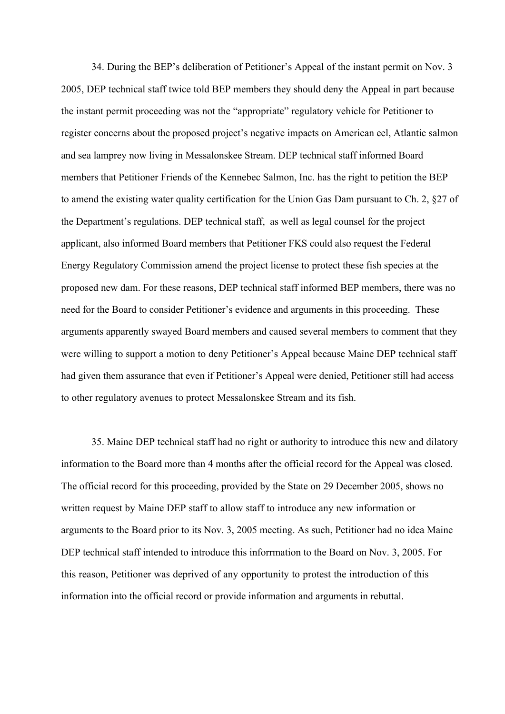34. During the BEP's deliberation of Petitioner's Appeal of the instant permit on Nov. 3 2005, DEP technical staff twice told BEP members they should deny the Appeal in part because the instant permit proceeding was not the "appropriate" regulatory vehicle for Petitioner to register concerns about the proposed project's negative impacts on American eel, Atlantic salmon and sea lamprey now living in Messalonskee Stream. DEP technical staff informed Board members that Petitioner Friends of the Kennebec Salmon, Inc. has the right to petition the BEP to amend the existing water quality certification for the Union Gas Dam pursuant to Ch. 2, §27 of the Department's regulations. DEP technical staff, as well as legal counsel for the project applicant, also informed Board members that Petitioner FKS could also request the Federal Energy Regulatory Commission amend the project license to protect these fish species at the proposed new dam. For these reasons, DEP technical staff informed BEP members, there was no need for the Board to consider Petitioner's evidence and arguments in this proceeding. These arguments apparently swayed Board members and caused several members to comment that they were willing to support a motion to deny Petitioner's Appeal because Maine DEP technical staff had given them assurance that even if Petitioner's Appeal were denied, Petitioner still had access to other regulatory avenues to protect Messalonskee Stream and its fish.

35. Maine DEP technical staff had no right or authority to introduce this new and dilatory information to the Board more than 4 months after the official record for the Appeal was closed. The official record for this proceeding, provided by the State on 29 December 2005, shows no written request by Maine DEP staff to allow staff to introduce any new information or arguments to the Board prior to its Nov. 3, 2005 meeting. As such, Petitioner had no idea Maine DEP technical staff intended to introduce this inforrmation to the Board on Nov. 3, 2005. For this reason, Petitioner was deprived of any opportunity to protest the introduction of this information into the official record or provide information and arguments in rebuttal.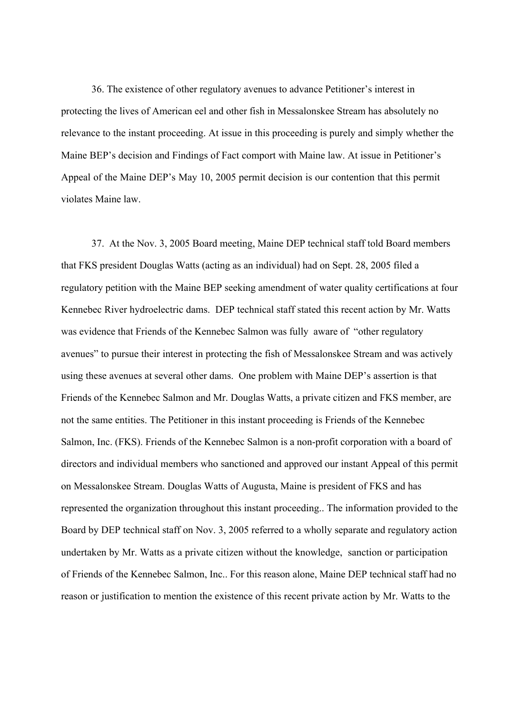36. The existence of other regulatory avenues to advance Petitioner's interest in protecting the lives of American eel and other fish in Messalonskee Stream has absolutely no relevance to the instant proceeding. At issue in this proceeding is purely and simply whether the Maine BEP's decision and Findings of Fact comport with Maine law. At issue in Petitioner's Appeal of the Maine DEP's May 10, 2005 permit decision is our contention that this permit violates Maine law.

37. At the Nov. 3, 2005 Board meeting, Maine DEP technical staff told Board members that FKS president Douglas Watts (acting as an individual) had on Sept. 28, 2005 filed a regulatory petition with the Maine BEP seeking amendment of water quality certifications at four Kennebec River hydroelectric dams. DEP technical staff stated this recent action by Mr. Watts was evidence that Friends of the Kennebec Salmon was fully aware of "other regulatory avenues" to pursue their interest in protecting the fish of Messalonskee Stream and was actively using these avenues at several other dams. One problem with Maine DEP's assertion is that Friends of the Kennebec Salmon and Mr. Douglas Watts, a private citizen and FKS member, are not the same entities. The Petitioner in this instant proceeding is Friends of the Kennebec Salmon, Inc. (FKS). Friends of the Kennebec Salmon is a non-profit corporation with a board of directors and individual members who sanctioned and approved our instant Appeal of this permit on Messalonskee Stream. Douglas Watts of Augusta, Maine is president of FKS and has represented the organization throughout this instant proceeding.. The information provided to the Board by DEP technical staff on Nov. 3, 2005 referred to a wholly separate and regulatory action undertaken by Mr. Watts as a private citizen without the knowledge, sanction or participation of Friends of the Kennebec Salmon, Inc.. For this reason alone, Maine DEP technical staff had no reason or justification to mention the existence of this recent private action by Mr. Watts to the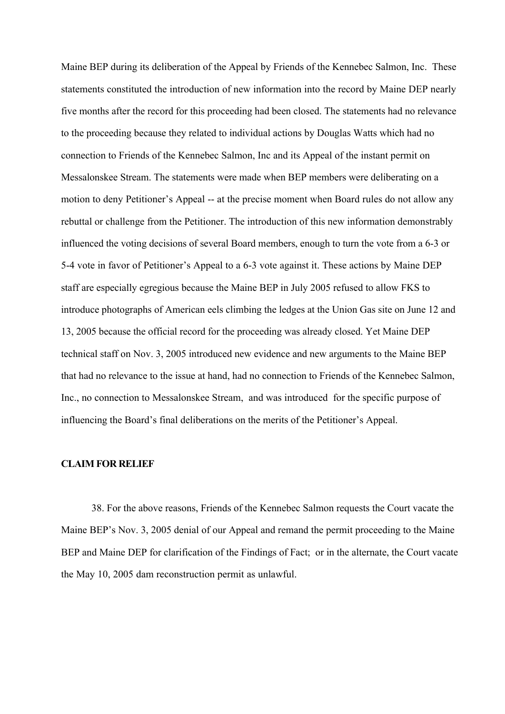Maine BEP during its deliberation of the Appeal by Friends of the Kennebec Salmon, Inc. These statements constituted the introduction of new information into the record by Maine DEP nearly five months after the record for this proceeding had been closed. The statements had no relevance to the proceeding because they related to individual actions by Douglas Watts which had no connection to Friends of the Kennebec Salmon, Inc and its Appeal of the instant permit on Messalonskee Stream. The statements were made when BEP members were deliberating on a motion to deny Petitioner's Appeal -- at the precise moment when Board rules do not allow any rebuttal or challenge from the Petitioner. The introduction of this new information demonstrably influenced the voting decisions of several Board members, enough to turn the vote from a 6-3 or 5-4 vote in favor of Petitioner's Appeal to a 6-3 vote against it. These actions by Maine DEP staff are especially egregious because the Maine BEP in July 2005 refused to allow FKS to introduce photographs of American eels climbing the ledges at the Union Gas site on June 12 and 13, 2005 because the official record for the proceeding was already closed. Yet Maine DEP technical staff on Nov. 3, 2005 introduced new evidence and new arguments to the Maine BEP that had no relevance to the issue at hand, had no connection to Friends of the Kennebec Salmon, Inc., no connection to Messalonskee Stream, and was introduced for the specific purpose of influencing the Board's final deliberations on the merits of the Petitioner's Appeal.

#### **CLAIM FOR RELIEF**

38. For the above reasons, Friends of the Kennebec Salmon requests the Court vacate the Maine BEP's Nov. 3, 2005 denial of our Appeal and remand the permit proceeding to the Maine BEP and Maine DEP for clarification of the Findings of Fact; or in the alternate, the Court vacate the May 10, 2005 dam reconstruction permit as unlawful.